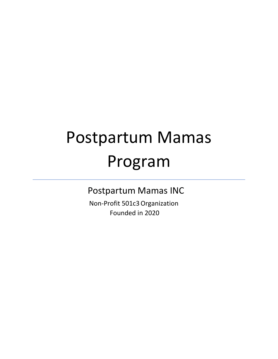# Postpartum Mamas Program

Postpartum Mamas INC

 Non-Profit 501c3Organization Founded in 2020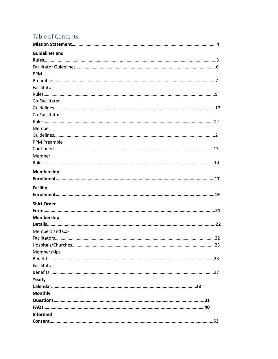# **Table of Contents**

| <b>Guidelines and</b> |  |
|-----------------------|--|
|                       |  |
|                       |  |
| <b>PPM</b>            |  |
|                       |  |
| Facilitator           |  |
|                       |  |
| Co-Facilitator        |  |
|                       |  |
| Co-Facilitator        |  |
|                       |  |
| Member                |  |
|                       |  |
| <b>PPM Preamble</b>   |  |
|                       |  |
| Member                |  |
|                       |  |
| Membership            |  |
|                       |  |
| <b>Facility</b>       |  |
|                       |  |
|                       |  |
| <b>Shirt Order</b>    |  |
|                       |  |
| Membership            |  |
|                       |  |
| Members and Co-       |  |
|                       |  |
|                       |  |
| Memberships           |  |
|                       |  |
| Facilitator           |  |
|                       |  |
| Yearly                |  |
|                       |  |
| <b>Monthly</b>        |  |
|                       |  |
|                       |  |
| <b>Informed</b>       |  |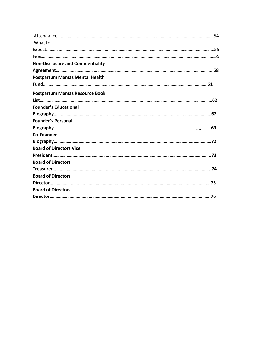| What to                                   |  |
|-------------------------------------------|--|
|                                           |  |
|                                           |  |
| <b>Non-Disclosure and Confidentiality</b> |  |
|                                           |  |
| <b>Postpartum Mamas Mental Health</b>     |  |
|                                           |  |
| <b>Postpartum Mamas Resource Book</b>     |  |
|                                           |  |
| <b>Founder's Educational</b>              |  |
|                                           |  |
| <b>Founder's Personal</b>                 |  |
|                                           |  |
| <b>Co-Founder</b>                         |  |
|                                           |  |
| <b>Board of Directors Vice</b>            |  |
|                                           |  |
| <b>Board of Directors</b>                 |  |
|                                           |  |
| <b>Board of Directors</b>                 |  |
|                                           |  |
| <b>Board of Directors</b>                 |  |
|                                           |  |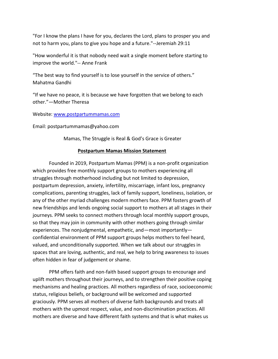"For I know the plans I have for you, declares the Lord, plans to prosper you and not to harm you, plans to give you hope and a future."--Jeremiah 29:11

"How wonderful it is that nobody need wait a single moment before starting to improve the world."-- Anne Frank

"The best way to find yourself is to lose yourself in the service of others." Mahatma Gandhi

"If we have no peace, it is because we have forgotten that we belong to each other."—Mother Theresa

Website: www.postpartummamas.com

Email: postpartummamas@yahoo.com

Mamas, The Struggle is Real & God's Grace is Greater

# **Postpartum Mamas Mission Statement**

Founded in 2019, Postpartum Mamas (PPM) is a non-profit organization which provides free monthly support groups to mothers experiencing all struggles through motherhood including but not limited to depression, postpartum depression, anxiety, infertility, miscarriage, infant loss, pregnancy complications, parenting struggles, lack of family support, loneliness, isolation, or any of the other myriad challenges modern mothers face. PPM fosters growth of new friendships and lends ongoing social support to mothers at all stages in their journeys. PPM seeks to connect mothers through local monthly support groups, so that they may join in community with other mothers going through similar experiences. The nonjudgmental, empathetic, and—most importantly confidential environment of PPM support groups helps mothers to feel heard, valued, and unconditionally supported. When we talk about our struggles in spaces that are loving, authentic, and real, we help to bring awareness to issues often hidden in fear of judgement or shame.

PPM offers faith and non-faith based support groups to encourage and uplift mothers throughout their journeys, and to strengthen their positive coping mechanisms and healing practices. All mothers regardless of race, socioeconomic status, religious beliefs, or background will be welcomed and supported graciously. PPM serves all mothers of diverse faith backgrounds and treats all mothers with the upmost respect, value, and non-discrimination practices. All mothers are diverse and have different faith systems and that is what makes us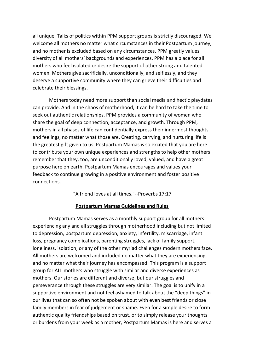all unique. Talks of politics within PPM support groups is strictly discouraged. We welcome all mothers no matter what circumstances in their Postpartum journey, and no mother is excluded based on any circumstances. PPM greatly values diversity of all mothers' backgrounds and experiences. PPM has a place for all mothers who feel isolated or desire the support of other strong and talented women. Mothers give sacrificially, unconditionally, and selflessly, and they deserve a supportive community where they can grieve their difficulties and celebrate their blessings.

Mothers today need more support than social media and hectic playdates can provide. And in the chaos of motherhood, it can be hard to take the time to seek out authentic relationships. PPM provides a community of women who share the goal of deep connection, acceptance, and growth. Through PPM, mothers in all phases of life can confidentially express their innermost thoughts and feelings, no matter what those are. Creating, carrying, and nurturing life is the greatest gift given to us. Postpartum Mamas is so excited that you are here to contribute your own unique experiences and strengths to help other mothers remember that they, too, are unconditionally loved, valued, and have a great purpose here on earth. Postpartum Mamas encourages and values your feedback to continue growing in a positive environment and foster positive connections.

"A friend loves at all times."--Proverbs 17:17

# **Postpartum Mamas Guidelines and Rules**

Postpartum Mamas serves as a monthly support group for all mothers experiencing any and all struggles through motherhood including but not limited to depression, postpartum depression, anxiety, infertility, miscarriage, infant loss, pregnancy complications, parenting struggles, lack of family support, loneliness, isolation, or any of the other myriad challenges modern mothers face. All mothers are welcomed and included no matter what they are experiencing, and no matter what their journey has encompassed. This program is a support group for ALL mothers who struggle with similar and diverse experiences as mothers. Our stories are different and diverse, but our struggles and perseverance through these struggles are very similar. The goal is to unify in a supportive environment and not feel ashamed to talk about the "deep things" in our lives that can so often not be spoken about with even best friends or close family members in fear of judgement or shame. Even for a simple desire to form authentic quality friendships based on trust, or to simply release your thoughts or burdens from your week as a mother, Postpartum Mamas is here and serves a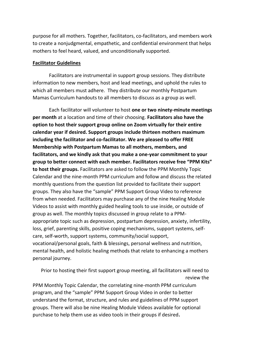purpose for all mothers. Together, facilitators, co-facilitators, and members work to create a nonjudgmental, empathetic, and confidential environment that helps mothers to feel heard, valued, and unconditionally supported.

## **Facilitator Guidelines**

Facilitators are instrumental in support group sessions. They distribute information to new members, host and lead meetings, and uphold the rules to which all members must adhere. They distribute our monthly Postpartum Mamas Curriculum handouts to all members to discuss as a group as well.

Each facilitator will volunteer to host **one or two ninety-minute meetings per month** at a location and time of their choosing. **Facilitators also have the option to host their support group online on Zoom virtually for their entire calendar year if desired. Support groups include thirteen mothers maximum including the facilitator and co-facilitator. We are pleased to offer FREE Membership with Postpartum Mamas to all mothers, members, and facilitators, and we kindly ask that you make a one-year commitment to your group to better connect with each member. Facilitators receive free "PPM Kits" to host their groups.** Facilitators are asked to follow the PPM Monthly Topic Calendar and the nine-month PPM curriculum and follow and discuss the related monthly questions from the question list provided to facilitate their support groups. They also have the "sample" PPM Support Group Video to reference from when needed. Facilitators may purchase any of the nine Healing Module Videos to assist with monthly guided healing tools to use inside, or outside of group as well. The monthly topics discussed in group relate to a PPMappropriate topic such as depression, postpartum depression, anxiety, infertility, loss, grief, parenting skills, positive coping mechanisms, support systems, selfcare, self-worth, support systems, community/social support, vocational/personal goals, faith & blessings, personal wellness and nutrition, mental health, and holistic healing methods that relate to enhancing a mothers personal journey.

Prior to hosting their first support group meeting, all facilitators will need to review the

PPM Monthly Topic Calendar, the correlating nine-month PPM curriculum program, and the "sample" PPM Support Group Video in order to better understand the format, structure, and rules and guidelines of PPM support groups. There will also be nine Healing Module Videos available for optional purchase to help them use as video tools in their groups if desired**.**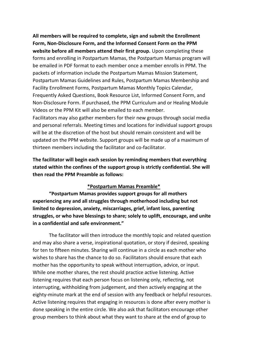**All members will be required to complete, sign and submit the Enrollment Form, Non-Disclosure Form, and the Informed Consent Form on the PPM website before all members attend their first group.** Upon completing these forms and enrolling in Postpartum Mamas, the Postpartum Mamas program will be emailed in PDF format to each member once a member enrolls in PPM. The packets of information include the Postpartum Mamas Mission Statement, Postpartum Mamas Guidelines and Rules, Postpartum Mamas Membership and Facility Enrollment Forms, Postpartum Mamas Monthly Topics Calendar, Frequently Asked Questions, Book Resource List, Informed Consent Form, and Non-Disclosure Form. If purchased, the PPM Curriculum and or Healing Module Videos or the PPM Kit will also be emailed to each member.

Facilitators may also gather members for their new groups through social media and personal referrals. Meeting times and locations for individual support groups will be at the discretion of the host but should remain consistent and will be updated on the PPM website. Support groups will be made up of a maximum of thirteen members including the facilitator and co-facilitator.

**The facilitator will begin each session by reminding members that everything stated within the confines of the support group is strictly confidential. She will then read the PPM Preamble as follows:**

# **\*Postpartum Mamas Preamble\***

**"Postpartum Mamas provides support groups for all mothers experiencing any and all struggles through motherhood including but not limited to depression, anxiety, miscarriages, grief, infant loss, parenting struggles, or who have blessings to share; solely to uplift, encourage, and unite in a confidential and safe environment."** 

The facilitator will then introduce the monthly topic and related question and may also share a verse, inspirational quotation, or story if desired, speaking for ten to fifteen minutes. Sharing will continue in a circle as each mother who wishes to share has the chance to do so. Facilitators should ensure that each mother has the opportunity to speak without interruption, advice, or input. While one mother shares, the rest should practice active listening. Active listening requires that each person focus on listening only, reflecting, not interrupting, withholding from judgement, and then actively engaging at the eighty-minute mark at the end of session with any feedback or helpful resources. Active listening requires that engaging in resources is done after every mother is done speaking in the entire circle. We also ask that facilitators encourage other group members to think about what they want to share at the end of group to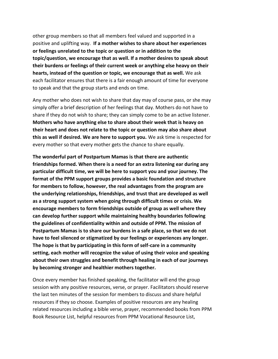other group members so that all members feel valued and supported in a positive and uplifting way. **If a mother wishes to share about her experiences or feelings unrelated to the topic or question or in addition to the topic/question, we encourage that as well. If a mother desires to speak about their burdens or feelings of their current week or anything else heavy on their hearts, instead of the question or topic, we encourage that as well.** We ask each facilitator ensures that there is a fair enough amount of time for everyone to speak and that the group starts and ends on time.

Any mother who does not wish to share that day may of course pass, or she may simply offer a brief description of her feelings that day. Mothers do not have to share if they do not wish to share; they can simply come to be an active listener. **Mothers who have anything else to share about their week that is heavy on their heart and does not relate to the topic or question may also share about this as well if desired. We are here to support you.** We ask time is respected for every mother so that every mother gets the chance to share equally.

**The wonderful part of Postpartum Mamas is that there are authentic friendships formed. When there is a need for an extra listening ear during any particular difficult time, we will be here to support you and your journey. The format of the PPM support groups provides a basic foundation and structure for members to follow, however, the real advantages from the program are the underlying relationships, friendships, and trust that are developed as well as a strong support system when going through difficult times or crisis. We encourage members to form friendships outside of group as well where they can develop further support while maintaining healthy boundaries following the guidelines of confidentiality within and outside of PPM. The mission of Postpartum Mamas is to share our burdens in a safe place, so that we do not have to feel silenced or stigmatized by our feelings or experiences any longer. The hope is that by participating in this form of self-care in a community setting, each mother will recognize the value of using their voice and speaking about their own struggles and benefit through healing in each of our journeys by becoming stronger and healthier mothers together.** 

Once every member has finished speaking, the facilitator will end the group session with any positive resources, verse, or prayer. Facilitators should reserve the last ten minutes of the session for members to discuss and share helpful resources if they so choose. Examples of positive resources are any healing related resources including a bible verse, prayer, recommended books from PPM Book Resource List, helpful resources from PPM Vocational Resource List,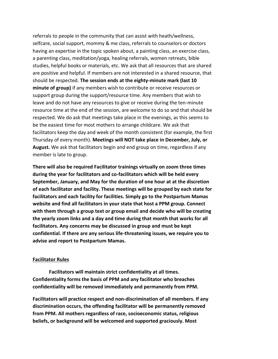referrals to people in the community that can assist with heath/wellness, selfcare, social support, mommy & me class, referrals to counselors or doctors having an expertise in the topic spoken about, a painting class, an exercise class, a parenting class, meditation/yoga, healing referrals, women retreats, bible studies, helpful books or materials, etc. We ask that all resources that are shared are positive and helpful. If members are not interested in a shared resource, that should be respected. **The session ends at the eighty-minute mark (last 10 minute of group)** if any members wish to contribute or receive resources or support group during the support/resource time. Any members that wish to leave and do not have any resources to give or receive during the ten-minute resource time at the end of the session, are welcome to do so and that should be respected. We do ask that meetings take place in the evenings, as this seems to be the easiest time for most mothers to arrange childcare. We ask that facilitators keep the day and week of the month consistent (for example, the first Thursday of every month). **Meetings will NOT take place in December, July, or August.** We ask that facilitators begin and end group on time, regardless if any member is late to group.

**There will also be required Facilitator trainings virtually on zoom three times during the year for facilitators and co-facilitators which will be held every September, January, and May for the duration of one hour at at the discretion of each facilitator and facility. These meetings will be grouped by each state for facilitators and each facility for facilities. Simply go to the Postpartum Mamas website and find all facilitators in your state that host a PPM group. Connect with them through a group text or group email and decide who will be creating the yearly zoom links and a day and time during that month that works for all facilitators. Any concerns may be discussed in group and must be kept confidential. If there are any serious life-threatening issues, we require you to advise and report to Postpartum Mamas.**

## **Facilitator Rules**

**Facilitators will maintain strict confidentiality at all times. Confidentiality forms the basis of PPM and any facilitator who breaches confidentiality will be removed immediately and permanently from PPM.**

**Facilitators will practice respect and non-discrimination of all members. If any discrimination occurs, the offending facilitator will be permanently removed from PPM. All mothers regardless of race, socioeconomic status, religious beliefs, or background will be welcomed and supported graciously. Most**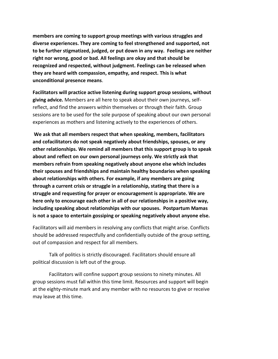**members are coming to support group meetings with various struggles and diverse experiences. They are coming to feel strengthened and supported, not to be further stigmatized, judged, or put down in any way. Feelings are neither right nor wrong, good or bad. All feelings are okay and that should be recognized and respected, without judgment. Feelings can be released when they are heard with compassion, empathy, and respect. This is what unconditional presence means**.

**Facilitators will practice active listening during support group sessions, without giving advice.** Members are all here to speak about their own journeys, selfreflect, and find the answers within themselves or through their faith. Group sessions are to be used for the sole purpose of speaking about our own personal experiences as mothers and listening actively to the experiences of others.

**We ask that all members respect that when speaking, members, facilitators and cofacilitators do not speak negatively about friendships, spouses, or any other relationships. We remind all members that this support group is to speak about and reflect on our own personal journeys only. We strictly ask that members refrain from speaking negatively about anyone else which includes their spouses and friendships and maintain healthy boundaries when speaking about relationships with others. For example, if any members are going through a current crisis or struggle in a relationship, stating that there is a struggle and requesting for prayer or encouragement is appropriate. We are here only to encourage each other in all of our relationships in a positive way, including speaking about relationships with our spouses. Postpartum Mamas is not a space to entertain gossiping or speaking negatively about anyone else.** 

Facilitators will aid members in resolving any conflicts that might arise. Conflicts should be addressed respectfully and confidentially outside of the group setting, out of compassion and respect for all members.

Talk of politics is strictly discouraged. Facilitators should ensure all political discussion is left out of the group.

Facilitators will confine support group sessions to ninety minutes. All group sessions must fall within this time limit. Resources and support will begin at the eighty-minute mark and any member with no resources to give or receive may leave at this time.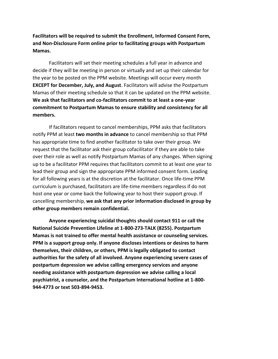**Facilitators will be required to submit the Enrollment, Informed Consent Form, and Non-Disclosure Form online prior to facilitating groups with Postpartum Mamas.**

Facilitators will set their meeting schedules a full year in advance and decide if they will be meeting in person or virtually and set up their calendar for the year to be posted on the PPM website. Meetings will occur every month **EXCEPT for December, July, and August**. Facilitators will advise the Postpartum Mamas of their meeting schedule so that it can be updated on the PPM website. **We ask that facilitators and co-facilitators commit to at least a one-year commitment to Postpartum Mamas to ensure stability and consistency for all members.**

If facilitators request to cancel memberships, PPM asks that facilitators notify PPM at least **two months in advance** to cancel membership so that PPM has appropriate time to find another facilitator to take over their group. We request that the facilitator ask their group cofacilitator if they are able to take over their role as well as notify Postpartum Mamas of any changes. When signing up to be a facilitator PPM requires that facilitators commit to at least one year to lead their group and sign the appropriate PPM informed consent form. Leading for all following years is at the discretion at the facilitator. Once life-time PPM curriculum is purchased, facilitators are life-time members regardless if do not host one year or come back the following year to host their support group. If cancelling membership, **we ask that any prior information disclosed in group by other group members remain confidential.** 

 **Anyone experiencing suicidal thoughts should contact 911 or call the National Suicide Prevention Lifeline at 1-800-273-TALK (8255). Postpartum Mamas is not trained to offer mental health assistance or counseling services. PPM is a support group only. If anyone discloses intentions or desires to harm themselves, their children, or others, PPM is legally obligated to contact authorities for the safety of all involved. Anyone experiencing severe cases of postpartum depression we advise calling emergency services and anyone needing assistance with postpartum depression we advise calling a local psychiatrist, a counselor, and the Postpartum International hotline at 1-800- 944-4773 or text 503-894-9453.**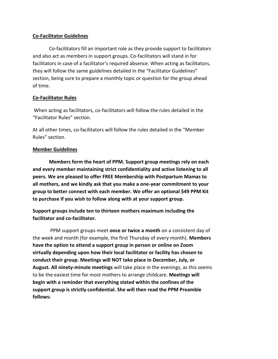# **Co-Facilitator Guidelines**

Co-facilitators fill an important role as they provide support to facilitators and also act as members in support groups. Co-facilitators will stand in for facilitators in case of a facilitator's required absence. When acting as facilitators, they will follow the same guidelines detailed in the "Facilitator Guidelines" section, being sure to prepare a monthly topic or question for the group ahead of time.

# **Co-Facilitator Rules**

When acting as facilitators, co-facilitators will follow the rules detailed in the "Facilitator Rules" section.

At all other times, co-facilitators will follow the rules detailed in the "Member Rules" section.

# **Member Guidelines**

**Members form the heart of PPM. Support group meetings rely on each and every member maintaining strict confidentiality and active listening to all peers. We are pleased to offer FREE Membership with Postpartum Mamas to all mothers, and we kindly ask that you make a one-year commitment to your group to better connect with each member. We offer an optional \$49 PPM Kit to purchase if you wish to follow along with at your support group.**

**Support groups include ten to thirteen mothers maximum including the facilitator and co-facilitator.**

PPM support groups meet **once or twice a month** on a consistent day of the week and month (for example, the first Thursday of every month). **Members have the option to attend a support group in person or online on Zoom virtually depending upon how their local facilitator or facility has chosen to conduct their group. Meetings will NOT take place in December, July, or August. All ninety-minute meetings** will take place in the evenings, as this seems to be the easiest time for most mothers to arrange childcare. **Meetings will begin with a reminder that everything stated within the confines of the support group is strictly confidential. She will then read the PPM Preamble follows:**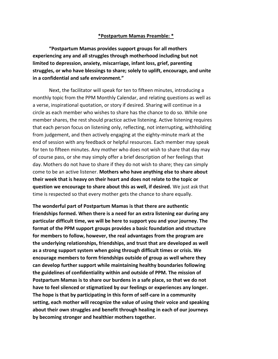## **\*Postpartum Mamas Preamble: \***

**"Postpartum Mamas provides support groups for all mothers experiencing any and all struggles through motherhood including but not limited to depression, anxiety, miscarriage, infant loss, grief, parenting struggles, or who have blessings to share; solely to uplift, encourage, and unite in a confidential and safe environment."** 

Next, the facilitator will speak for ten to fifteen minutes, introducing a monthly topic from the PPM Monthly Calendar, and relating questions as well as a verse, inspirational quotation, or story if desired. Sharing will continue in a circle as each member who wishes to share has the chance to do so. While one member shares, the rest should practice active listening. Active listening requires that each person focus on listening only, reflecting, not interrupting, withholding from judgement, and then actively engaging at the eighty-minute mark at the end of session with any feedback or helpful resources. Each member may speak for ten to fifteen minutes. Any mother who does not wish to share that day may of course pass, or she may simply offer a brief description of her feelings that day. Mothers do not have to share if they do not wish to share; they can simply come to be an active listener. **Mothers who have anything else to share about their week that is heavy on their heart and does not relate to the topic or question we encourage to share about this as well, if desired.** We just ask that time is respected so that every mother gets the chance to share equally.

**The wonderful part of Postpartum Mamas is that there are authentic friendships formed. When there is a need for an extra listening ear during any particular difficult time, we will be here to support you and your journey. The format of the PPM support groups provides a basic foundation and structure for members to follow, however, the real advantages from the program are the underlying relationships, friendships, and trust that are developed as well as a strong support system when going through difficult times or crisis. We encourage members to form friendships outside of group as well where they can develop further support while maintaining healthy boundaries following the guidelines of confidentiality within and outside of PPM. The mission of Postpartum Mamas is to share our burdens in a safe place, so that we do not have to feel silenced or stigmatized by our feelings or experiences any longer. The hope is that by participating in this form of self-care in a community setting, each mother will recognize the value of using their voice and speaking about their own struggles and benefit through healing in each of our journeys by becoming stronger and healthier mothers together.**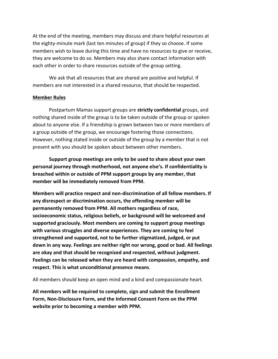At the end of the meeting, members may discuss and share helpful resources at the eighty-minute mark (last ten minutes of group) if they so choose. If some members wish to leave during this time and have no resources to give or receive, they are welcome to do so. Members may also share contact information with each other in order to share resources outside of the group setting.

We ask that all resources that are shared are positive and helpful. If members are not interested in a shared resource, that should be respected.

# **Member Rules**

Postpartum Mamas support groups are **strictly confidential** groups, and nothing shared inside of the group is to be taken outside of the group or spoken about to anyone else. If a friendship is grown between two or more members of a group outside of the group, we encourage fostering those connections. However, nothing stated inside or outside of the group by a member that is not present with you should be spoken about between other members.

**Support group meetings are only to be used to share about your own personal journey through motherhood, not anyone else's. If confidentiality is breached within or outside of PPM support groups by any member, that member will be immediately removed from PPM.**

**Members will practice respect and non-discrimination of all fellow members. If any disrespect or discrimination occurs, the offending member will be permanently removed from PPM. All mothers regardless of race, socioeconomic status, religious beliefs, or background will be welcomed and supported graciously. Most members are coming to support group meetings with various struggles and diverse experiences. They are coming to feel strengthened and supported, not to be further stigmatized, judged, or put down in any way. Feelings are neither right nor wrong, good or bad. All feelings are okay and that should be recognized and respected, without judgment. Feelings can be released when they are heard with compassion, empathy, and respect. This is what unconditional presence means**.

All members should keep an open mind and a kind and compassionate heart.

**All members will be required to complete, sign and submit the Enrollment Form, Non-Disclosure Form, and the Informed Consent Form on the PPM website prior to becoming a member with PPM.**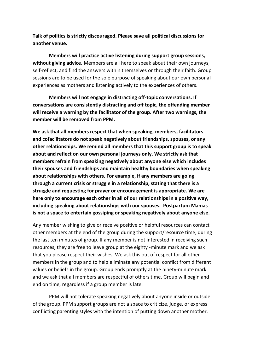**Talk of politics is strictly discouraged. Please save all political discussions for another venue.**

**Members will practice active listening during support group sessions, without giving advice.** Members are all here to speak about their own journeys, self-reflect, and find the answers within themselves or through their faith. Group sessions are to be used for the sole purpose of speaking about our own personal experiences as mothers and listening actively to the experiences of others.

**Members will not engage in distracting off-topic conversations. If conversations are consistently distracting and off topic, the offending member will receive a warning by the facilitator of the group. After two warnings, the member will be removed from PPM.** 

**We ask that all members respect that when speaking, members, facilitators and cofacilitators do not speak negatively about friendships, spouses, or any other relationships. We remind all members that this support group is to speak about and reflect on our own personal journeys only. We strictly ask that members refrain from speaking negatively about anyone else which includes their spouses and friendships and maintain healthy boundaries when speaking about relationships with others. For example, if any members are going through a current crisis or struggle in a relationship, stating that there is a struggle and requesting for prayer or encouragement is appropriate. We are here only to encourage each other in all of our relationships in a positive way, including speaking about relationships with our spouses. Postpartum Mamas is not a space to entertain gossiping or speaking negatively about anyone else.** 

Any member wishing to give or receive positive or helpful resources can contact other members at the end of the group during the support/resource time, during the last ten minutes of group. If any member is not interested in receiving such resources, they are free to leave group at the eighty -minute mark and we ask that you please respect their wishes. We ask this out of respect for all other members in the group and to help eliminate any potential conflict from different values or beliefs in the group. Group ends promptly at the ninety-minute mark and we ask that all members are respectful of others time. Group will begin and end on time, regardless if a group member is late.

PPM will not tolerate speaking negatively about anyone inside or outside of the group. PPM support groups are not a space to criticize, judge, or express conflicting parenting styles with the intention of putting down another mother.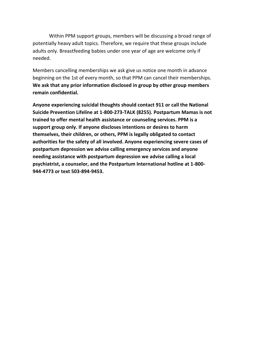Within PPM support groups, members will be discussing a broad range of potentially heavy adult topics. Therefore, we require that these groups include adults only. Breastfeeding babies under one year of age are welcome only if needed.

Members cancelling memberships we ask give us notice one month in advance beginning on the 1st of every month, so that PPM can cancel their memberships. **We ask that any prior information disclosed in group by other group members remain confidential.** 

**Anyone experiencing suicidal thoughts should contact 911 or call the National Suicide Prevention Lifeline at 1-800-273-TALK (8255). Postpartum Mamas is not trained to offer mental health assistance or counseling services. PPM is a support group only. If anyone discloses intentions or desires to harm themselves, their children, or others, PPM is legally obligated to contact authorities for the safety of all involved. Anyone experiencing severe cases of postpartum depression we advise calling emergency services and anyone needing assistance with postpartum depression we advise calling a local psychiatrist, a counselor, and the Postpartum International hotline at 1-800- 944-4773 or text 503-894-9453.**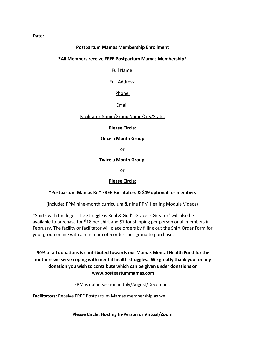## **Postpartum Mamas Membership Enrollment**

#### **\*All Members receive FREE Postpartum Mamas Membership\***

#### Full Name:

#### Full Address:

Phone:

Email:

#### Facilitator Name/Group Name/City/State:

#### **Please Circle:**

#### **Once a Month Group**

or

#### **Twice a Month Group:**

or

## **Please Circle:**

## **"Postpartum Mamas Kit" FREE Facilitators & \$49 optional for members**

(includes PPM nine-month curriculum & nine PPM Healing Module Videos)

\*Shirts with the logo "The Struggle is Real & God's Grace is Greater" will also be available to purchase for \$18 per shirt and \$7 for shipping per person or all members in February. The facility or facilitator will place orders by filling out the Shirt Order Form for your group online with a minimum of 6 orders per group to purchase.

# **50% of all donations is contributed towards our Mamas Mental Health Fund for the mothers we serve coping with mental health struggles. We greatly thank you for any donation you wish to contribute which can be given under donations on www.postpartummamas.com**

PPM is not in session in July/August/December.

**Facilitators**: Receive FREE Postpartum Mamas membership as well.

**Please Circle: Hosting In-Person or Virtual/Zoom**

#### **Date:**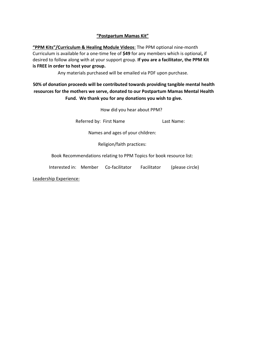## **"Postpartum Mamas Kit"**

**"PPM Kits"/Curriculum & Healing Module Videos**: The PPM optional nine-month Curriculum is available for a one-time fee of **\$49** for any members which is optional**,** if desired to follow along with at your support group. **If you are a facilitator, the PPM Kit is FREE in order to host your group.**

Any materials purchased will be emailed via PDF upon purchase.

**50% of donation proceeds will be contributed towards providing tangible mental health resources for the mothers we serve, donated to our Postpartum Mamas Mental Health Fund. We thank you for any donations you wish to give.** 

How did you hear about PPM?

Referred by: First Name Last Name:

Names and ages of your children:

Religion/faith practices:

Book Recommendations relating to PPM Topics for book resource list:

Interested in: Member Co-facilitator Facilitator (please circle)

Leadership Experience: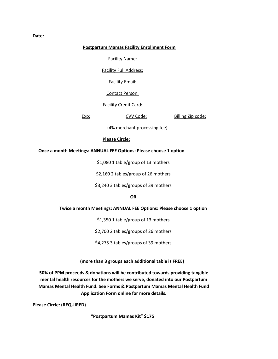## **Postpartum Mamas Facility Enrollment Form**

#### Facility Name:

Facility Full Address:

Facility Email:

Contact Person:

Facility Credit Card:

Exp: CVV Code: Billing Zip code:

(4% merchant processing fee)

#### **Please Circle:**

#### **Once a month Meetings: ANNUAL FEE Options: Please choose 1 option**

\$1,080 1 table/group of 13 mothers

\$2,160 2 tables/group of 26 mothers

\$3,240 3 tables/groups of 39 mothers

#### **OR**

#### **Twice a month Meetings: ANNUAL FEE Options: Please choose 1 option**

\$1,350 1 table/group of 13 mothers

\$2,700 2 tables/groups of 26 mothers

\$4,275 3 tables/groups of 39 mothers

 **(more than 3 groups each additional table is FREE)**

**50% of PPM proceeds & donations will be contributed towards providing tangible mental health resources for the mothers we serve, donated into our Postpartum Mamas Mental Health Fund. See Forms & Postpartum Mamas Mental Health Fund Application Form online for more details.** 

**Please Circle: (REQUIRED)**

**"Postpartum Mamas Kit" \$175** 

#### **Date:**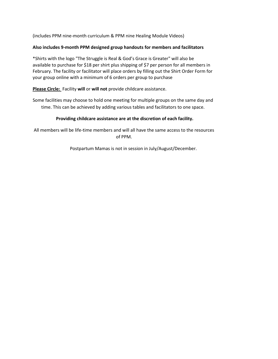(includes PPM nine-month curriculum & PPM nine Healing Module Videos)

## **Also includes 9-month PPM designed group handouts for members and facilitators**

\*Shirts with the logo "The Struggle is Real & God's Grace is Greater" will also be available to purchase for \$18 per shirt plus shipping of \$7 per person for all members in February. The facility or facilitator will place orders by filling out the Shirt Order Form for your group online with a minimum of 6 orders per group to purchase

**Please Circle:** Facility **will** or **will not** provide childcare assistance.

Some facilities may choose to hold one meeting for multiple groups on the same day and time. This can be achieved by adding various tables and facilitators to one space.

## **Providing childcare assistance are at the discretion of each facility.**

All members will be life-time members and will all have the same access to the resources of PPM.

Postpartum Mamas is not in session in July/August/December.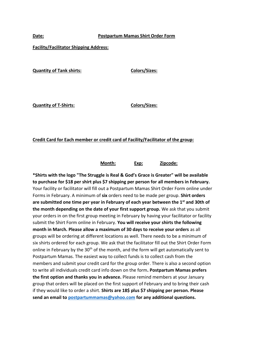#### **Date: Postpartum Mamas Shirt Order Form**

#### **Facility/Facilitator Shipping Address:**

**Quantity of Tank shirts: Colors/Sizes: Colors/Sizes:** 

**Quantity of T-Shirts: Colors/Sizes:**

**Credit Card for Each member or credit card of Facility/Facilitator of the group:**

**Month: Exp: Zipcode:**

**\*Shirts with the logo "The Struggle is Real & God's Grace is Greater" will be available to purchase for \$18 per shirt plus \$7 shipping per person for all members in February.** Your facility or facilitator will fill out a Postpartum Mamas Shirt Order Form online under Forms in February. A minimum of **six** orders need to be made per group. **Shirt orders are submitted one time per year in February of each year between the 1st and 30th of the month depending on the date of your first support group.** We ask that you submit your orders in on the first group meeting in February by having your facilitator or facility submit the Shirt Form online in February. **You will receive your shirts the following month in March. Please allow a maximum of 30 days to receive your orders** as all groups will be ordering at different locations as well. There needs to be a minimum of six shirts ordered for each group. We ask that the facilitator fill out the Shirt Order Form online in February by the 30<sup>th</sup> of the month, and the form will get automatically sent to Postpartum Mamas. The easiest way to collect funds is to collect cash from the members and submit your credit card for the group order. There is also a second option to write all individuals credit card info down on the form**. Postpartum Mamas prefers the first option and thanks you in advance.** Please remind members at your January group that orders will be placed on the first support of February and to bring their cash if they would like to order a shirt. **Shirts are 18\$ plus \$7 shipping per person. Please send an email to postpartummamas@yahoo.com for any additional questions.**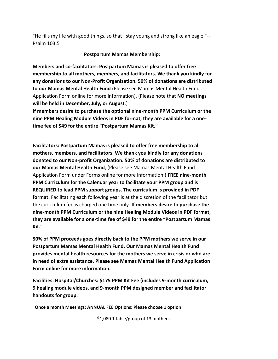"He fills my life with good things, so that I stay young and strong like an eagle."-- Psalm 103:5

# **Postpartum Mamas Membership:**

**Members and co-facilitators**: **Postpartum Mamas is pleased to offer free membership to all mothers, members, and facilitators. We thank you kindly for any donations to our Non-Profit Organization. 50% of donations are distributed to our Mamas Mental Health Fund** (Please see Mamas Mental Health Fund Application Form online for more information), (Please note that **NO meetings will be held in December, July, or August**.)

**If members desire to purchase the optional nine-month PPM Curriculum or the nine PPM Healing Module Videos in PDF format, they are available for a onetime fee of \$49 for the entire "Postpartum Mamas Kit."** 

**Facilitators: Postpartum Mamas is pleased to offer free membership to all mothers, members, and facilitators. We thank you kindly for any donations donated to our Non-profit Organization. 50% of donations are distributed to our Mamas Mental Health Fund**, (Please see Mamas Mental Health Fund Application Form under Forms online for more information.) **FREE nine-month PPM Curriculum for the Calendar year to facilitate your PPM group and is REQUIRED to lead PPM support groups. The curriculum is provided in PDF format.** Facilitating each following year is at the discretion of the facilitator but the curriculum fee is charged one time only. **If members desire to purchase the nine-month PPM Curriculum or the nine Healing Module Videos in PDF format, they are available for a one-time fee of \$49 for the entire "Postpartum Mamas Kit."** 

**50% of PPM proceeds goes directly back to the PPM mothers we serve in our Postpartum Mamas Mental Health Fund. Our Mamas Mental Health Fund provides mental health resources for the mothers we serve in crisis or who are in need of extra assistance. Please see Mamas Mental Health Fund Application Form online for more information.**

**Facilities: Hospital/Churches: \$175 PPM Kit Fee (includes 9-month curriculum, 9 healing module videos, and 9-month PPM designed member and facilitator handouts for group.**

 **Once a month Meetings: ANNUAL FEE Options: Please choose 1 option**

\$1,080 1 table/group of 13 mothers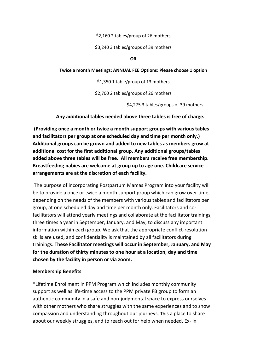\$2,160 2 tables/group of 26 mothers

\$3,240 3 tables/groups of 39 mothers

#### **OR**

## **Twice a month Meetings: ANNUAL FEE Options: Please choose 1 option**

\$1,350 1 table/group of 13 mothers

\$2,700 2 tables/groups of 26 mothers

\$4,275 3 tables/groups of 39 mothers

#### **Any additional tables needed above three tables is free of charge.**

**(Providing once a month or twice a month support groups with various tables and facilitators per group at one scheduled day and time per month only.) Additional groups can be grown and added to new tables as members grow at additional cost for the first additional group. Any additional groups/tables added above three tables will be free. All members receive free membership. Breastfeeding babies are welcome at group up to age one. Childcare service arrangements are at the discretion of each facility.** 

The purpose of incorporating Postpartum Mamas Program into your facility will be to provide a once or twice a month support group which can grow over time, depending on the needs of the members with various tables and facilitators per group, at one scheduled day and time per month only. Facilitators and cofacilitators will attend yearly meetings and collaborate at the facilitator trainings, three times a year in September, January, and May, to discuss any important information within each group. We ask that the appropriate conflict-resolution skills are used, and confidentiality is maintained by all facilitators during trainings. **These Facilitator meetings will occur in September, January, and May for the duration of thirty minutes to one hour at a location, day and time chosen by the facility in person or via zoom.** 

## **Membership Benefits**

\*Lifetime Enrollment in PPM Program which includes monthly community support as well as life-time access to the PPM private FB group to form an authentic community in a safe and non-judgmental space to express ourselves with other mothers who share struggles with the same experiences and to show compassion and understanding throughout our journeys. This a place to share about our weekly struggles, and to reach out for help when needed. Ex- in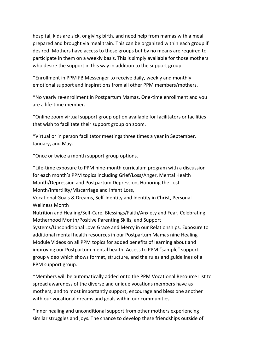hospital, kids are sick, or giving birth, and need help from mamas with a meal prepared and brought via meal train. This can be organized within each group if desired. Mothers have access to these groups but by no means are required to participate in them on a weekly basis. This is simply available for those mothers who desire the support in this way in addition to the support group.

\*Enrollment in PPM FB Messenger to receive daily, weekly and monthly emotional support and inspirations from all other PPM members/mothers.

\*No yearly re-enrollment in Postpartum Mamas. One-time enrollment and you are a life-time member.

\*Online zoom virtual support group option available for facilitators or facilities that wish to facilitate their support group on zoom.

\*Virtual or in person facilitator meetings three times a year in September, January, and May.

\*Once or twice a month support group options.

\*Life-time exposure to PPM nine-month curriculum program with a discussion for each month's PPM topics including Grief/Loss/Anger, Mental Health Month/Depression and Postpartum Depression, Honoring the Lost Month/Infertility/Miscarriage and Infant Loss,

Vocational Goals & Dreams, Self-Identity and Identity in Christ, Personal Wellness Month

Nutrition and Healing/Self-Care, Blessings/Faith/Anxiety and Fear, Celebrating Motherhood Month/Positive Parenting Skills, and Support Systems/Unconditional Love Grace and Mercy in our Relationships. Exposure to additional mental health resources in our Postpartum Mamas nine Healing Module Videos on all PPM topics for added benefits of learning about and improving our Postpartum mental health. Access to PPM "sample" support group video which shows format, structure, and the rules and guidelines of a PPM support group.

\*Members will be automatically added onto the PPM Vocational Resource List to spread awareness of the diverse and unique vocations members have as mothers, and to most importantly support, encourage and bless one another with our vocational dreams and goals within our communities.

\*Inner healing and unconditional support from other mothers experiencing similar struggles and joys. The chance to develop these friendships outside of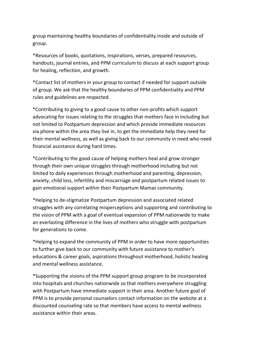group maintaining healthy boundaries of confidentiality inside and outside of group.

\*Resources of books, quotations, inspirations, verses, prepared resources, handouts, journal entries, and PPM curriculum to discuss at each support group for healing, reflection, and growth.

\*Contact list of mothers in your group to contact if needed for support outside of group. We ask that the healthy boundaries of PPM confidentiality and PPM rules and guidelines are respected.

\*Contributing to giving to a good cause to other non-profits which support advocating for issues relating to the struggles that mothers face in including but not limited to Postpartum depression and which provide immediate resources via phone within the area they live in, to get the immediate help they need for their mental wellness, as well as giving back to our community in need who need financial assistance during hard times.

\*Contributing to the good cause of helping mothers heal and grow stronger through their own unique struggles through motherhood including but not limited to daily experiences through motherhood and parenting, depression, anxiety, child loss, infertility and miscarriage and postpartum related issues to gain emotional support within their Postpartum Mamas community.

\*Helping to de-stigmatize Postpartum depression and associated related struggles with any correlating misperceptions and supporting and contributing to the vision of PPM with a goal of eventual expansion of PPM nationwide to make an everlasting difference in the lives of mothers who struggle with postpartum for generations to come.

\*Helping to expand the community of PPM in order to have more opportunities to further give back to our community with future assistance to mother's educations & career goals, aspirations throughout motherhood, holistic healing and mental wellness assistance.

\*Supporting the visions of the PPM support group program to be incorporated into hospitals and churches nationwide so that mothers everywhere struggling with Postpartum have immediate support in their area. Another future goal of PPM is to provide personal counselors contact information on the website at a discounted counseling rate so that members have access to mental wellness assistance within their areas.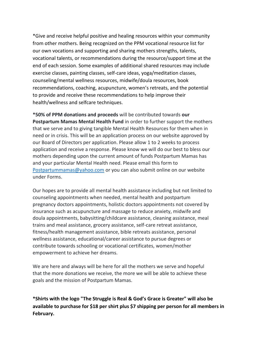\*Give and receive helpful positive and healing resources within your community from other mothers. Being recognized on the PPM vocational resource list for our own vocations and supporting and sharing mothers strengths, talents, vocational talents, or recommendations during the resource/support time at the end of each session. Some examples of additional shared resources may include exercise classes, painting classes, self-care ideas, yoga/meditation classes, counseling/mental wellness resources, midwife/doula resources, book recommendations, coaching, acupuncture, women's retreats, and the potential to provide and receive these recommendations to help improve their health/wellness and selfcare techniques.

**\*50% of PPM donations and proceeds** will be contributed towards **our Postpartum Mamas Mental Health Fund** in order to further support the mothers that we serve and to giving tangible Mental Health Resources for them when in need or in crisis. This will be an application process on our website approved by our Board of Directors per application. Please allow 1 to 2 weeks to process application and receive a response. Please know we will do our best to bless our mothers depending upon the current amount of funds Postpartum Mamas has and your particular Mental Health need. Please email this form to Postpartummamas@yahoo.com or you can also submit online on our website under Forms.

Our hopes are to provide all mental health assistance including but not limited to counseling appointments when needed, mental health and postpartum pregnancy doctors appointments, holistic doctors appointments not covered by insurance such as acupuncture and massage to reduce anxiety, midwife and doula appointments, babysitting/childcare assistance, cleaning assistance, meal trains and meal assistance, grocery assistance, self-care retreat assistance, fitness/health management assistance, bible retreats assistance, personal wellness assistance, educational/career assistance to pursue degrees or contribute towards schooling or vocational certificates, women/mother empowerment to achieve her dreams.

We are here and always will be here for all the mothers we serve and hopeful that the more donations we receive, the more we will be able to achieve these goals and the mission of Postpartum Mamas.

**\*Shirts with the logo "The Struggle is Real & God's Grace is Greater" will also be available to purchase for \$18 per shirt plus \$7 shipping per person for all members in February.**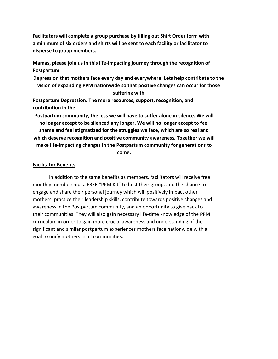**Facilitators will complete a group purchase by filling out Shirt Order form with a minimum of six orders and shirts will be sent to each facility or facilitator to disperse to group members.** 

**Mamas, please join us in this life-impacting journey through the recognition of Postpartum** 

**Depression that mothers face every day and everywhere. Lets help contribute to the vision of expanding PPM nationwide so that positive changes can occur for those suffering with** 

**Postpartum Depression. The more resources, support, recognition, and contribution in the** 

**Postpartum community, the less we will have to suffer alone in silence. We will no longer accept to be silenced any longer. We will no longer accept to feel shame and feel stigmatized for the struggles we face, which are so real and which deserve recognition and positive community awareness. Together we will make life-impacting changes in the Postpartum community for generations to come.** 

# **Facilitator Benefits**

In addition to the same benefits as members, facilitators will receive free monthly membership, a FREE "PPM Kit" to host their group, and the chance to engage and share their personal journey which will positively impact other mothers, practice their leadership skills, contribute towards positive changes and awareness in the Postpartum community, and an opportunity to give back to their communities. They will also gain necessary life-time knowledge of the PPM curriculum in order to gain more crucial awareness and understanding of the significant and similar postpartum experiences mothers face nationwide with a goal to unify mothers in all communities.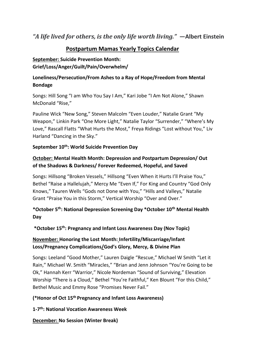# *"A life lived for others, is the only life worth living."* **—Albert Einstein**

# **Postpartum Mamas Yearly Topics Calendar**

# **September: Suicide Prevention Month: Grief/Loss/Anger/Guilt/Pain/Overwhelm/**

# **Loneliness/Persecution/From Ashes to a Ray of Hope/Freedom from Mental Bondage**

Songs: Hill Song "I am Who You Say I Am," Kari Jobe "I Am Not Alone," Shawn McDonald "Rise,"

Pauline Wick "New Song," Steven Malcolm "Even Louder," Natalie Grant "My Weapon," Linkin Park "One More Light," Natalie Taylor "Surrender," "Where's My Love," Rascall Flatts "What Hurts the Most," Freya Ridings "Lost without You," Liv Harland "Dancing in the Sky."

# **September 10th: World Suicide Prevention Day**

# **October: Mental Health Month: Depression and Postpartum Depression/ Out of the Shadows & Darkness/ Forever Redeemed, Hopeful, and Saved**

Songs: Hillsong "Broken Vessels," Hillsong "Even When it Hurts I'll Praise You," Bethel "Raise a Hallelujah," Mercy Me "Even If," For King and Country "God Only Knows," Tauren Wells "Gods not Done with You," "Hills and Valleys," Natalie Grant "Praise You in this Storm," Vertical Worship "Over and Over."

# **\*October 5th: National Depression Screening Day \*October 10th Mental Health Day**

# **\*October 15th: Pregnancy and Infant Loss Awareness Day (Nov Topic)**

# **November: Honoring the Lost Month: Infertility/Miscarriage/Infant Loss/Pregnancy Complications/God's Glory, Mercy, & Divine Plan**

Songs: Leeland "Good Mother," Lauren Daigle "Rescue," Michael W Smith "Let it Rain," Michael W. Smith "Miracles," "Brian and Jenn Johnson "You're Going to be Ok," Hannah Kerr "Warrior," Nicole Nordeman "Sound of Surviving," Elevation Worship "There is a Cloud," Bethel "You're Faithful," Ken Blount "For this Child," Bethel Music and Emmy Rose "Promises Never Fail."

# **(\*Honor of Oct 15th Pregnancy and Infant Loss Awareness)**

**1-7 th: National Vocation Awareness Week** 

**December: No Session (Winter Break)**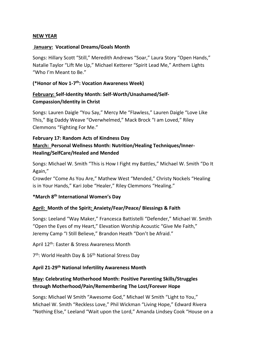# **NEW YEAR**

# **January: Vocational Dreams/Goals Month**

Songs: Hillary Scott "Still," Meredith Andrews "Soar," Laura Story "Open Hands," Natalie Taylor "Lift Me Up," Michael Ketterer "Spirit Lead Me," Anthem Lights "Who I'm Meant to Be."

(\*Honor of Nov 1-7<sup>th</sup>: Vocation Awareness Week)

# **February: Self-Identity Month: Self-Worth/Unashamed/Self-Compassion/Identity in Christ**

Songs: Lauren Daigle "You Say," Mercy Me "Flawless," Lauren Daigle "Love Like This," Big Daddy Weave "Overwhelmed," Mack Brock "I am Loved," Riley Clemmons "Fighting For Me."

# **February 17: Random Acts of Kindness Day March: Personal Wellness Month: Nutrition/Healing Techniques/Inner-Healing/SelfCare/Healed and Mended**

Songs: Michael W. Smith "This is How I Fight my Battles," Michael W. Smith "Do It Again,"

Crowder "Come As You Are," Mathew West "Mended," Christy Nockels "Healing is in Your Hands," Kari Jobe "Healer," Riley Clemmons "Healing."

# **\*March 8th International Women's Day**

# **April: Month of the Spirit: Anxiety/Fear/Peace/ Blessings & Faith**

Songs: Leeland "Way Maker," Francesca Battistelli "Defender," Michael W. Smith "Open the Eyes of my Heart," Elevation Worship Acoustic "Give Me Faith," Jeremy Camp "I Still Believe," Brandon Heath "Don't be Afraid."

April 12<sup>th</sup>: Easter & Stress Awareness Month

7<sup>th</sup>: World Health Day & 16<sup>th</sup> National Stress Day

# **April 21-29th National Infertility Awareness Month**

# **May: Celebrating Motherhood Month: Positive Parenting Skills/Struggles through Motherhood/Pain/Remembering The Lost/Forever Hope**

Songs: Michael W Smith "Awesome God," Michael W Smith "Light to You," Michael W. Smith "Reckless Love," Phil Wickman "Living Hope," Edward Rivera "Nothing Else," Leeland "Wait upon the Lord," Amanda Lindsey Cook "House on a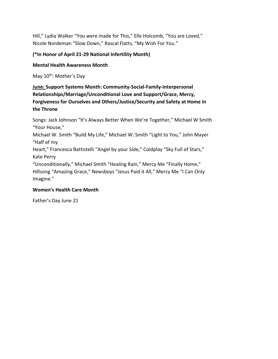Hill," Lydia Walker "You were made for This," Elle Holcomb, "You are Loved," Nicole Nordeman "Slow Down," Rascal Flatts, "My Wish For You."

# **(\*In Honor of April 21-29 National Infertility Month)**

# **Mental Health Awareness Month**

May 10<sup>th</sup>: Mother's Day

**June: Support Systems Month: Community-Social-Family-Interpersonal Relationships/Marriage/Unconditional Love and Support/Grace, Mercy, Forgiveness for Ourselves and Others/Justice/Security and Safety at Home in the Throne** 

Songs: Jack Johnson "It's Always Better When We're Together," Michael W Smith "Your House,"

Michael W. Smith "Build My Life," Michael W. Smith "Light to You," John Mayer "Half of my

Heart," Francesca Battistelli "Angel by your Side," Coldplay "Sky Full of Stars," Kate Perry

"Unconditionally," Michael Smith "Healing Rain," Mercy Me "Finally Home," Hillsong "Amazing Grace," Newsboys "Jesus Paid it All," Mercy Me "I Can Only Imagine."

# **Women's Health Care Month**

Father's Day June 21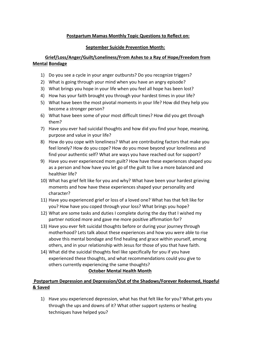# **Postpartum Mamas Monthly Topic Questions to Reflect on:**

## **September Suicide Prevention Month:**

# **Grief/Loss/Anger/Guilt/Loneliness/From Ashes to a Ray of Hope/Freedom from Mental Bondage**

- 1) Do you see a cycle in your anger outbursts? Do you recognize triggers?
- 2) What is going through your mind when you have an angry episode?
- 3) What brings you hope in your life when you feel all hope has been lost?
- 4) How has your faith brought you through your hardest times in your life?
- 5) What have been the most pivotal moments in your life? How did they help you become a stronger person?
- 6) What have been some of your most difficult times? How did you get through them?
- 7) Have you ever had suicidal thoughts and how did you find your hope, meaning, purpose and value in your life?
- 8) How do you cope with loneliness? What are contributing factors that make you feel lonely? How do you cope? How do you move beyond your loneliness and find your authentic self? What are ways you have reached out for support?
- 9) Have you ever experienced mom guilt? How have these experiences shaped you as a person and how have you let go of the guilt to live a more balanced and healthier life?
- 10) What has grief felt like for you and why? What have been your hardest grieving moments and how have these experiences shaped your personality and character?
- 11) Have you experienced grief or loss of a loved one? What has that felt like for you? How have you coped through your loss? What brings you hope?
- 12) What are some tasks and duties I complete during the day that I wished my partner noticed more and gave me more positive affirmation for?
- 13) Have you ever felt suicidal thoughts before or during your journey through motherhood? Lets talk about these experiences and how you were able to rise above this mental bondage and find healing and grace within yourself, among others, and in your relationship with Jesus for those of you that have faith.
- 14) What did the suicidal thoughts feel like specifically for you if you have experienced these thoughts, and what recommendations could you give to others currently experiencing the same thoughts?

## **October Mental Health Month**

# **Postpartum Depression and Depression/Out of the Shadows/Forever Redeemed, Hopeful & Saved**

1) Have you experienced depression, what has that felt like for you? What gets you through the ups and downs of it? What other support systems or healing techniques have helped you?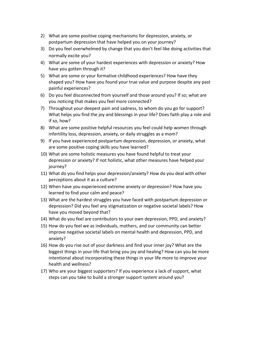- 2) What are some positive coping mechanisms for depression, anxiety, or postpartum depression that have helped you on your journey?
- 3) Do you feel overwhelmed by change that you don't feel like doing activities that normally excite you?
- 4) What are some of your hardest experiences with depression or anxiety? How have you gotten through it?
- 5) What are some or your formative childhood experiences? How have they shaped you? How have you found your true value and purpose despite any past painful experiences?
- 6) Do you feel disconnected from yourself and those around you? If so; what are you noticing that makes you feel more connected?
- 7) Throughout your deepest pain and sadness, to whom do you go for support? What helps you find the joy and blessings in your life? Does faith play a role and if so, how?
- 8) What are some positive helpful resources you feel could help women through infertility loss, depression, anxiety, or daily struggles as a mom?
- 9) If you have experienced postpartum depression, depression, or anxiety, what are some positive coping skills you have learned?
- 10) What are some holistic measures you have found helpful to treat your depression or anxiety? If not holistic, what other measures have helped your journey?
- 11) What do you find helps your depression/anxiety? How do you deal with other perceptions about it as a culture?
- 12) When have you experienced extreme anxiety or depression? How have you learned to find your calm and peace?
- 13) What are the hardest struggles you have faced with postpartum depression or depression? Did you feel any stigmatization or negative societal labels? How have you moved beyond that?
- 14) What do you feel are contributors to your own depression, PPD, and anxiety?
- 15) How do you feel we as individuals, mothers, and our community can better improve negative societal labels on mental health and depression, PPD, and anxiety?
- 16) How do you rise out of your darkness and find your inner joy? What are the biggest things in your life that bring you joy and healing? How can you be more intentional about incorporating these things in your life more to improve your health and wellness?
- 17) Who are your biggest supporters? If you experience a lack of support, what steps can you take to build a stronger support system around you?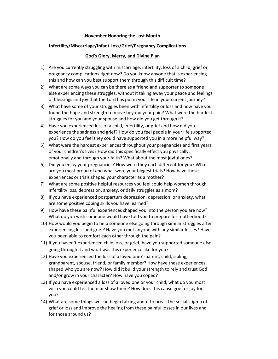## **November Honoring the Lost Month**

## **Infertility/Miscarriage/Infant Loss/Grief/Pregnancy Complications**

## **God's Glory, Mercy, and Divine Plan**

- 1) Are you currently struggling with miscarriage, infertility, loss of a child, grief or pregnancy complications right now? Do you know anyone that is experiencing this and how can you best support them through this difficult time?
- 2) What are some ways you can be there as a friend and supporter to someone else experiencing these struggles, without it taking away your peace and feelings of blessings and joy that the Lord has put in your life in your current journey?
- 3) What have some of your struggles been with infertility or loss and how have you found the hope and strength to move beyond your pain? What were the hardest struggles for you and your spouse and how did you get through it?
- 4) Have you experienced loss of a child, infertility, or grief and how did you experience the sadness and grief? How do you feel people in your life supported you? How do you feel they could have supported you in a more helpful way?
- 5) What were the hardest experiences throughout your pregnancies and first years of your children's lives? How did this specifically effect you physically, emotionally and through your faith? What about the most joyful ones?
- 6) Did you enjoy your pregnancies? How were they each different for you? What are you most proud of and what were your biggest trials? How have these experiences or trials shaped your character as a mother?
- 7) What are some positive helpful resources you feel could help women through infertility loss, depression, anxiety, or daily struggles as a mom?
- 8) If you have experienced postpartum depression, depression, or anxiety, what are some positive coping skills you have learned?
- 9) How have these painful experiences shaped you into the person you are now? What do you wish someone would have told you to prepare for motherhood?
- 10) How would you begin to help someone else going through similar struggles after experiencing loss and grief? Have you met anyone with any similar losses? Have you been able to comfort each other through the pain?
- 11) If you haven't experienced child loss, or grief, have you supported someone else going through it and what was this experience like for you?
- 12) Have you experienced the loss of a loved one? -parent, child, sibling, grandparent, spouse, friend, or family member? How have these experiences shaped who you are now? How did it build your strength to rely and trust God and/or grow in your character? How have you coped?
- 13) If you have experienced a loss of a loved one or your child, what do you most wish you could tell them or show them? How does this cause grief or joy for you?
- 14) What are some things we can begin talking about to break the social stigma of grief or loss and improve the healing from these painful losses in our lives and for those around us?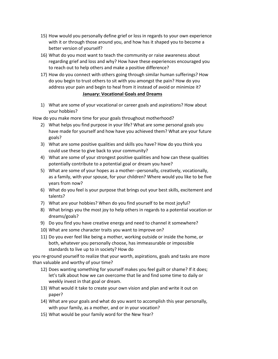- 15) How would you personally define grief or loss in regards to your own experience with it or through those around you, and how has it shaped you to become a better version of yourself?
- 16) What do you most want to teach the community or raise awareness about regarding grief and loss and why? How have these experiences encouraged you to reach out to help others and make a positive difference?
- 17) How do you connect with others going through similar human sufferings? How do you begin to trust others to sit with you amongst the pain? How do you address your pain and begin to heal from it instead of avoid or minimize it? **January: Vocational Goals and Dreams**
- 1) What are some of your vocational or career goals and aspirations? How about your hobbies?

How do you make more time for your goals throughout motherhood?

- 2) What helps you find purpose in your life? What are some personal goals you have made for yourself and how have you achieved them? What are your future goals?
- 3) What are some positive qualities and skills you have? How do you think you could use these to give back to your community?
- 4) What are some of your strongest positive qualities and how can these qualities potentially contribute to a potential goal or dream you have?
- 5) What are some of your hopes as a mother--personally, creatively, vocationally, as a family, with your spouse, for your children? Where would you like to be five years from now?
- 6) What do you feel is your purpose that brings out your best skills, excitement and talents?
- 7) What are your hobbies? When do you find yourself to be most joyful?
- 8) What brings you the most joy to help others in regards to a potential vocation or dreams/goals?
- 9) Do you find you have creative energy and need to channel it somewhere?
- 10) What are some character traits you want to improve on?
- 11) Do you ever feel like being a mother, working outside or inside the home, or both, whatever you personally choose, has immeasurable or impossible standards to live up to in society? How do

you re-ground yourself to realize that your worth, aspirations, goals and tasks are more than valuable and worthy of your time?

- 12) Does wanting something for yourself makes you feel guilt or shame? If it does; let's talk about how we can overcome that lie and find some time to daily or weekly invest in that goal or dream.
- 13) What would it take to create your own vision and plan and write it out on paper?
- 14) What are your goals and what do you want to accomplish this year personally, with your family, as a mother, and or in your vocation?
- 15) What would be your family word for the New Year?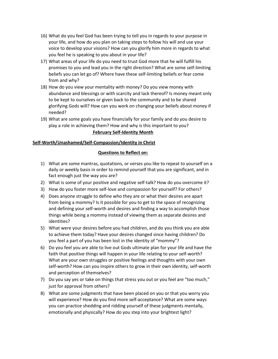- 16) What do you feel God has been trying to tell you in regards to your purpose in your life, and how do you plan on taking steps to follow his will and use your voice to develop your visions? How can you glorify him more in regards to what you feel he is speaking to you about in your life?
- 17) What areas of your life do you need to trust God more that he will fulfill his promises to you and lead you in the right direction? What are some self-limiting beliefs you can let go of? Where have these self-limiting beliefs or fear come from and why?
- 18) How do you view your mentality with money? Do you view money with abundance and blessings or with scarcity and lack thereof? Is money meant only to be kept to ourselves or given back to the community and to be shared glorifying Gods will? How can you work on changing your beliefs about money if needed?
- 19) What are some goals you have financially for your family and do you desire to play a role in achieving them? How and why is this important to you?

## **February Self-Identity Month**

## **Self-Worth/Unashamed/Self-Compassion/Identity in Christ**

#### **Questions to Reflect on:**

- 1) What are some mantras, quotations, or verses you like to repeat to yourself on a daily or weekly basis in order to remind yourself that you are significant, and in fact enough just the way you are?
- 2) What is some of your positive and negative self-talk? How do you overcome it?
- 3) How do you foster more self-love and compassion for yourself? For others?
- 4) Does anyone struggle to define who they are or what their desires are apart from being a mommy? Is it possible for you to get to the space of recognizing and defining your self-worth and desires and finding a way to accomplish those things while being a mommy instead of viewing them as separate desires and identities?
- 5) What were your desires before you had children, and do you think you are able to achieve them today? Have your desires changed since having children? Do you feel a part of you has been lost in the identity of "mommy"?
- 6) Do you feel you are able to live out Gods ultimate plan for your life and have the faith that positive things will happen in your life relating to your self-worth? What are your own struggles or positive feelings and thoughts with your own self-worth? How can you inspire others to grow in their own identity, self-worth and perception of themselves?
- 7) Do you say yes or take on things that stress you out or you feel are "too much," just for approval from others?
- 8) What are some judgments that have been placed on you or that you worry you will experience? How do you find more self-acceptance? What are some ways you can practice shedding and ridding yourself of these judgments mentally, emotionally and physically? How do you step into your brightest light?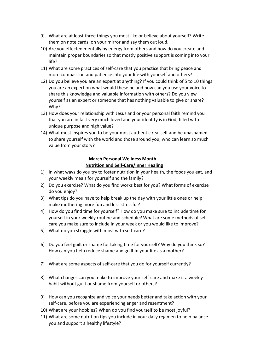- 9) What are at least three things you most like or believe about yourself? Write them on note cards; on your mirror and say them out loud.
- 10) Are you effected mentally by energy from others and how do you create and maintain proper boundaries so that mostly positive support is coming into your life?
- 11) What are some practices of self-care that you practice that bring peace and more compassion and patience into your life with yourself and others?
- 12) Do you believe you are an expert at anything? If you could think of 5 to 10 things you are an expert on what would these be and how can you use your voice to share this knowledge and valuable information with others? Do you view yourself as an expert or someone that has nothing valuable to give or share? Why?
- 13) How does your relationship with Jesus and or your personal faith remind you that you are in fact very much loved and your identity is in God, filled with unique purpose and high value?
- 14) What most inspires you to be your most authentic real self and be unashamed to share yourself with the world and those around you, who can learn so much value from your story?

# **March Personal Wellness Month Nutrition and Self-Care/Inner Healing**

- 1) In what ways do you try to foster nutrition in your health, the foods you eat, and your weekly meals for yourself and the family?
- 2) Do you exercise? What do you find works best for you? What forms of exercise do you enjoy?
- 3) What tips do you have to help break up the day with your little ones or help make mothering more fun and less stressful?
- 4) How do you find time for yourself? How do you make sure to include time for yourself in your weekly routine and schedule? What are some methods of selfcare you make sure to include in your week or you would like to improve?
- 5) What do you struggle with most with self-care?
- 6) Do you feel guilt or shame for taking time for yourself? Why do you think so? How can you help reduce shame and guilt in your life as a mother?
- 7) What are some aspects of self-care that you do for yourself currently?
- 8) What changes can you make to improve your self-care and make it a weekly habit without guilt or shame from yourself or others?
- 9) How can you recognize and voice your needs better and take action with your self-care, before you are experiencing anger and resentment?
- 10) What are your hobbies? When do you find yourself to be most joyful?
- 11) What are some nutrition tips you include in your daily regimen to help balance you and support a healthy lifestyle?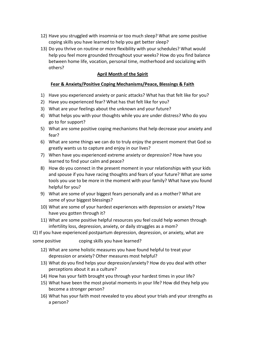- 12) Have you struggled with insomnia or too much sleep? What are some positive coping skills you have learned to help you get better sleep?
- 13) Do you thrive on routine or more flexibility with your schedules? What would help you feel more grounded throughout your weeks? How do you find balance between home life, vocation, personal time, motherhood and socializing with others?

# **April Month of the Spirit**

## **Fear & Anxiety/Positive Coping Mechanisms/Peace, Blessings & Faith**

- 1) Have you experienced anxiety or panic attacks? What has that felt like for you?
- 2) Have you experienced fear? What has that felt like for you?
- 3) What are your feelings about the unknown and your future?
- 4) What helps you with your thoughts while you are under distress? Who do you go to for support?
- 5) What are some positive coping mechanisms that help decrease your anxiety and fear?
- 6) What are some things we can do to truly enjoy the present moment that God so greatly wants us to capture and enjoy in our lives?
- 7) When have you experienced extreme anxiety or depression? How have you learned to find your calm and peace?
- 8) How do you connect in the present moment in your relationships with your kids and spouse if you have racing thoughts and fears of your future? What are some tools you use to be more in the moment with your family? What have you found helpful for you?
- 9) What are some of your biggest fears personally and as a mother? What are some of your biggest blessings?
- 10) What are some of your hardest experiences with depression or anxiety? How have you gotten through it?
- 11) What are some positive helpful resources you feel could help women through infertility loss, depression, anxiety, or daily struggles as a mom?

I2) If you have experienced postpartum depression, depression, or anxiety, what are

some positive coping skills you have learned?

- 12) What are some holistic measures you have found helpful to treat your depression or anxiety? Other measures most helpful?
- 13) What do you find helps your depression/anxiety? How do you deal with other perceptions about it as a culture?
- 14) How has your faith brought you through your hardest times in your life?
- 15) What have been the most pivotal moments in your life? How did they help you become a stronger person?
- 16) What has your faith most revealed to you about your trials and your strengths as a person?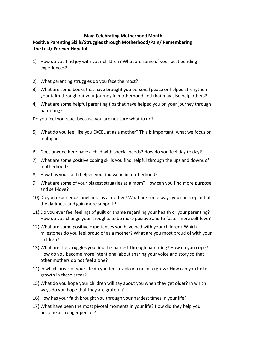#### **May: Celebrating Motherhood Month**

# **Positive Parenting Skills/Struggles through Motherhood/Pain/ Remembering the Lost/ Forever Hopeful**

- 1) How do you find joy with your children? What are some of your best bonding experiences?
- 2) What parenting struggles do you face the most?
- 3) What are some books that have brought you personal peace or helped strengthen your faith throughout your journey in motherhood and that may also help others?
- 4) What are some helpful parenting tips that have helped you on your journey through parenting?

Do you feel you react because you are not sure what to do?

- 5) What do you feel like you EXCEL at as a mother? This is important; what we focus on multiplies.
- 6) Does anyone here have a child with special needs? How do you feel day to day?
- 7) What are some positive coping skills you find helpful through the ups and downs of motherhood?
- 8) How has your faith helped you find value in motherhood?
- 9) What are some of your biggest struggles as a mom? How can you find more purpose and self-love?
- 10) Do you experience loneliness as a mother? What are some ways you can step out of the darkness and gain more support?
- 11) Do you ever feel feelings of guilt or shame regarding your health or your parenting? How do you change your thoughts to be more positive and to foster more self-love?
- 12) What are some positive experiences you have had with your children? Which milestones do you feel proud of as a mother? What are you most proud of with your children?
- 13) What are the struggles you find the hardest through parenting? How do you cope? How do you become more intentional about sharing your voice and story so that other mothers do not feel alone?
- 14) In which areas of your life do you feel a lack or a need to grow? How can you foster growth in these areas?
- 15) What do you hope your children will say about you when they get older? In which ways do you hope that they are grateful?
- 16) How has your faith brought you through your hardest times in your life?
- 17) What have been the most pivotal moments in your life? How did they help you become a stronger person?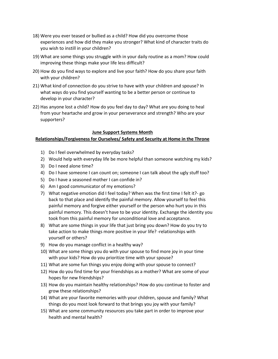- 18) Were you ever teased or bullied as a child? How did you overcome those experiences and how did they make you stronger? What kind of character traits do you wish to instill in your children?
- 19) What are some things you struggle with in your daily routine as a mom? How could improving these things make your life less difficult?
- 20) How do you find ways to explore and live your faith? How do you share your faith with your children?
- 21) What kind of connection do you strive to have with your children and spouse? In what ways do you find yourself wanting to be a better person or continue to develop in your character?
- 22) Has anyone lost a child? How do you feel day to day? What are you doing to heal from your heartache and grow in your perseverance and strength? Who are your supporters?

#### **June Support Systems Month**

#### **Relationships/Forgiveness for Ourselves/ Safety and Security at Home in the Throne**

- 1) Do I feel overwhelmed by everyday tasks?
- 2) Would help with everyday life be more helpful than someone watching my kids?
- 3) Do I need alone time?
- 4) Do I have someone I can count on; someone I can talk about the ugly stuff too?
- 5) Do I have a seasoned mother I can confide in?
- 6) Am I good communicator of my emotions?
- 7) What negative emotion did I feel today? When was the first time I felt it?- go back to that place and identify the painful memory. Allow yourself to feel this painful memory and forgive either yourself or the person who hurt you in this painful memory. This doesn't have to be your identity. Exchange the identity you took from this painful memory for unconditional love and acceptance.
- 8) What are some things in your life that just bring you down? How do you try to take action to make things more positive in your life? -relationships with yourself or others?
- 9) How do you manage conflict in a healthy way?
- 10) What are some things you do with your spouse to find more joy in your time with your kids? How do you prioritize time with your spouse?
- 11) What are some fun things you enjoy doing with your spouse to connect?
- 12) How do you find time for your friendships as a mother? What are some of your hopes for new friendships?
- 13) How do you maintain healthy relationships? How do you continue to foster and grow these relationships?
- 14) What are your favorite memories with your children, spouse and family? What things do you most look forward to that brings you joy with your family?
- 15) What are some community resources you take part in order to improve your health and mental health?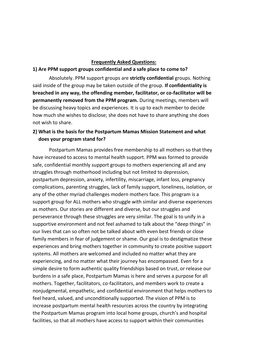## **Frequently Asked Questions:**

## **1) Are PPM support groups confidential and a safe place to come to?**

Absolutely. PPM support groups are **strictly confidential** groups. Nothing said inside of the group may be taken outside of the group. **If confidentiality is breached in any way, the offending member, facilitator, or co-facilitator will be permanently removed from the PPM program.** During meetings, members will be discussing heavy topics and experiences. It is up to each member to decide how much she wishes to disclose; she does not have to share anything she does not wish to share.

# **2) What is the basis for the Postpartum Mamas Mission Statement and what does your program stand for?**

Postpartum Mamas provides free membership to all mothers so that they have increased to access to mental health support. PPM was formed to provide safe, confidential monthly support groups to mothers experiencing all and any struggles through motherhood including but not limited to depression, postpartum depression, anxiety, infertility, miscarriage, infant loss, pregnancy complications, parenting struggles, lack of family support, loneliness, isolation, or any of the other myriad challenges modern mothers face. This program is a support group for ALL mothers who struggle with similar and diverse experiences as mothers. Our stories are different and diverse, but our struggles and perseverance through these struggles are very similar. The goal is to unify in a supportive environment and not feel ashamed to talk about the "deep things" in our lives that can so often not be talked about with even best friends or close family members in fear of judgement or shame. Our goal is to destigmatize these experiences and bring mothers together in community to create positive support systems. All mothers are welcomed and included no matter what they are experiencing, and no matter what their journey has encompassed. Even for a simple desire to form authentic quality friendships based on trust, or release our burdens in a safe place, Postpartum Mamas is here and serves a purpose for all mothers. Together, facilitators, co-facilitators, and members work to create a nonjudgmental, empathetic, and confidential environment that helps mothers to feel heard, valued, and unconditionally supported. The vision of PPM is to increase postpartum mental health resources across the country by integrating the Postpartum Mamas program into local home groups, church's and hospital facilities, so that all mothers have access to support within their communities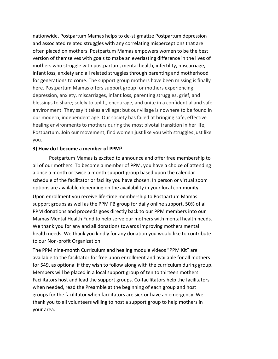nationwide. Postpartum Mamas helps to de-stigmatize Postpartum depression and associated related struggles with any correlating misperceptions that are often placed on mothers. Postpartum Mamas empowers women to be the best version of themselves with goals to make an everlasting difference in the lives of mothers who struggle with postpartum, mental health, infertility, miscarriage, infant loss, anxiety and all related struggles through parenting and motherhood for generations to come. The support group mothers have been missing is finally here. Postpartum Mamas offers support group for mothers experiencing depression, anxiety, miscarriages, infant loss, parenting struggles, grief, and blessings to share; solely to uplift, encourage, and unite in a confidential and safe environment. They say it takes a village; but our village is nowhere to be found in our modern, independent age. Our society has failed at bringing safe, effective healing environments to mothers during the most pivotal transition in her life, Postpartum. Join our movement, find women just like you with struggles just like you.

## **3) How do I become a member of PPM?**

Postpartum Mamas is excited to announce and offer free membership to all of our mothers. To become a member of PPM, you have a choice of attending a once a month or twice a month support group based upon the calendar schedule of the facilitator or facility you have chosen. In person or virtual zoom options are available depending on the availability in your local community.

Upon enrollment you receive life-time membership to Postpartum Mamas support groups as well as the PPM FB group for daily online support. 50% of all PPM donations and proceeds goes directly back to our PPM members into our Mamas Mental Health Fund to help serve our mothers with mental health needs. We thank you for any and all donations towards improving mothers mental health needs. We thank you kindly for any donation you would like to contribute to our Non-profit Organization.

The PPM nine-month Curriculum and healing module videos "PPM Kit" are available to the facilitator for free upon enrollment and available for all mothers for \$49, as optional if they wish to follow along with the curriculum during group. Members will be placed in a local support group of ten to thirteen mothers. Facilitators host and lead the support groups. Co-facilitators help the facilitators when needed, read the Preamble at the beginning of each group and host groups for the facilitator when facilitators are sick or have an emergency. We thank you to all volunteers willing to host a support group to help mothers in your area.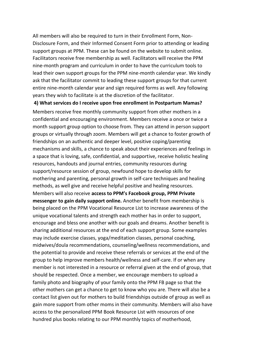All members will also be required to turn in their Enrollment Form, Non-Disclosure Form, and their Informed Consent Form prior to attending or leading support groups at PPM. These can be found on the website to submit online. Facilitators receive free membership as well. Facilitators will receive the PPM nine-month program and curriculum in order to have the curriculum tools to lead their own support groups for the PPM nine-month calendar year. We kindly ask that the facilitator commit to leading these support groups for that current entire nine-month calendar year and sign required forms as well. Any following years they wish to facilitate is at the discretion of the facilitator.

**4) What services do I receive upon free enrollment in Postpartum Mamas?** 

Members receive free monthly community support from other mothers in a confidential and encouraging environment. Members receive a once or twice a month support group option to choose from. They can attend in person support groups or virtually through zoom. Members will get a chance to foster growth of friendships on an authentic and deeper level, positive coping/parenting mechanisms and skills, a chance to speak about their experiences and feelings in a space that is loving, safe, confidential, and supportive, receive holistic healing resources, handouts and journal entries, community resources during support/resource session of group, newfound hope to develop skills for mothering and parenting, personal growth in self-care techniques and healing methods, as well give and receive helpful positive and healing resources. Members will also receive **access to PPM's Facebook group, PPM Private messenger to gain daily support online.** Another benefit from membership is being placed on the PPM Vocational Resource List to increase awareness of the unique vocational talents and strength each mother has in order to support, encourage and bless one another with our goals and dreams. Another benefit is sharing additional resources at the end of each support group. Some examples may include exercise classes, yoga/meditation classes, personal coaching, midwives/doula recommendations, counseling/wellness recommendations, and the potential to provide and receive these referrals or services at the end of the group to help improve members health/wellness and self-care. If or when any member is not interested in a resource or referral given at the end of group, that should be respected. Once a member, we encourage members to upload a family photo and biography of your family onto the PPM FB page so that the other mothers can get a chance to get to know who you are. There will also be a contact list given out for mothers to build friendships outside of group as well as gain more support from other moms in their community. Members will also have access to the personalized PPM Book Resource List with resources of one hundred plus books relating to our PPM monthly topics of motherhood,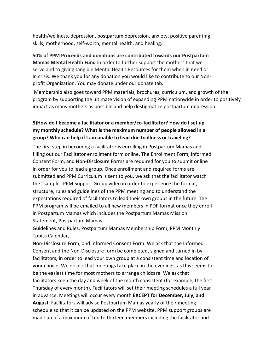health/wellness, depression, postpartum depression, anxiety, positive parenting skills, motherhood, self-worth, mental health, and healing.

**50% of PPM Proceeds and donations are contributed towards our Postpartum Mamas Mental Health Fund** in order to further support the mothers that we serve and to giving tangible Mental Health Resources for them when in need or in crisis. We thank you for any donation you would like to contribute to our Nonprofit Organization. You may donate under our donate tab.

Membership also goes toward PPM materials, brochures, curriculum, and growth of the program by supporting the ultimate vision of expanding PPM nationwide in order to positively impact as many mothers as possible and help destigmatize postpartum depression.

# **5)How do I become a facilitator or a member/co-facilitator? How do I set up my monthly schedule? What is the maximum number of people allowed in a group? Who can help if I am unable to lead due to illness or traveling?**

The first step in becoming a facilitator is enrolling in Postpartum Mamas and filling out our Facilitator enrollment form online. The Enrollment Form, Informed Consent Form, and Non-Disclosure Forms are required for you to submit online in order for you to lead a group. Once enrollment and required forms are submitted and PPM Curriculum is sent to you, we ask that the facilitator watch the "sample" PPM Support Group video in order to experience the format, structure, rules and guidelines of the PPM meeting and to understand the expectations required of facilitators to lead their own groups in the future. The PPM program will be emailed to all new members in PDF format once they enroll in Postpartum Mamas which includes the Postpartum Mamas Mission Statement, Postpartum Mamas

Guidelines and Rules, Postpartum Mamas Membership Form, PPM Monthly Topics Calendar,

Non-Disclosure Form, and Informed Consent Form. We ask that the Informed Consent and the Non-Disclosure form be completed, signed and turned in by facilitators, in order to lead your own group at a consistent time and location of your choice. We do ask that meetings take place in the evenings, as this seems to be the easiest time for most mothers to arrange childcare. We ask that facilitators keep the day and week of the month consistent (for example, the first Thursday of every month). Facilitators will set their meeting schedules a full year in advance. Meetings will occur every month **EXCEPT for December, July, and August**. Facilitators will advise Postpartum Mamas yearly of their meeting schedule so that it can be updated on the PPM website. PPM support groups are made up of a maximum of ten to thirteen members including the facilitator and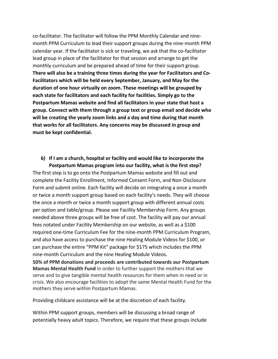co-facilitator. The facilitator will follow the PPM Monthly Calendar and ninemonth PPM Curriculum to lead their support groups during the nine-month PPM calendar year. If the facilitator is sick or traveling, we ask that the co-facilitator lead group in place of the facilitator for that session and arrange to get the monthly curriculum and be prepared ahead of time for their support group. **There will also be a training three times during the year for Facilitators and Co-Facilitators which will be held every September, January, and May for the duration of one hour virtually on zoom. These meetings will be grouped by each state for facilitators and each facility for facilities. Simply go to the Postpartum Mamas website and find all facilitators in your state that host a group. Connect with them through a group text or group email and decide who will be creating the yearly zoom links and a day and time during that month that works for all facilitators. Any concerns may be discussed in group and must be kept confidential.** 

# **6) If I am a church, hospital or facility and would like to incorporate the Postpartum Mamas program into our facility, what is the first step?**

The first step is to go onto the Postpartum Mamas website and fill out and complete the Facility Enrollment, Informed Consent Form, and Non-Disclosure Form and submit online. Each facility will decide on integrating a once a month or twice a month support group based on each facility's needs. They will choose the once a month or twice a month support group with different annual costs per option and table/group. Please see Facility Membership Form. Any groups needed above three groups will be free of cost. The facility will pay our annual fees notated under Facility Membership on our website, as well as a \$100 required one-time Curriculum Fee for the nine-month PPM Curriculum Program, and also have access to purchase the nine Healing Module Videos for \$100, or can purchase the entire "PPM Kit" package for \$175 which includes the PPM nine-month Curriculum and the nine Healing Module Videos.

**50% of PPM donations and proceeds are contributed towards our Postpartum Mamas Mental Health Fund** in order to further support the mothers that we serve and to give tangible mental health resources for them when in need or in crisis. We also encourage facilities to adopt the same Mental Health Fund for the mothers they serve within Postpartum Mamas.

Providing childcare assistance will be at the discretion of each facility.

Within PPM support groups, members will be discussing a broad range of potentially heavy adult topics. Therefore, we require that these groups include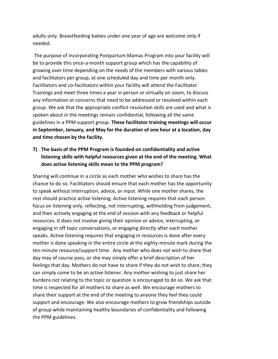adults only. Breastfeeding babies under one year of age are welcome only if needed.

The purpose of incorporating Postpartum Mamas Program into your facility will be to provide this once-a-month support group which has the capability of growing over time depending on the needs of the members with various tables and facilitators per group, at one scheduled day and time per month only. Facilitators and co-facilitators within your facility will attend the Facilitator Trainings and meet three times a year in person or virtually on zoom, to discuss any information or concerns that need to be addressed or resolved within each group. We ask that the appropriate conflict-resolution skills are used and what is spoken about in the meetings remain confidential, following all the same guidelines in a PPM support group. **These facilitator training meetings will occur in September, January, and May for the duration of one hour at a location, day and time chosen by the facility.** 

# **7) The basis of the PPM Program is founded on confidentiality and active listening skills with helpful resources given at the end of the meeting. What does active listening skills mean to the PPM program?**

Sharing will continue in a circle as each mother who wishes to share has the chance to do so. Facilitators should ensure that each mother has the opportunity to speak without interruption, advice, or input. While one mother shares, the rest should practice active listening. Active listening requires that each person focus on listening only, reflecting, not interrupting, withholding from judgement, and then actively engaging at the end of session with any feedback or helpful resources. It does not involve giving their opinion or advice, interrupting, or engaging in off topic conversations, or engaging directly after each mother speaks. Active listening requires that engaging in resources is done after every mother is done speaking in the entire circle at the eighty-minute mark during the ten-minute resource/support time. Any mother who does not wish to share that day may of course pass, or she may simply offer a brief description of her feelings that day. Mothers do not have to share if they do not wish to share; they can simply come to be an active listener. Any mother wishing to just share her burdens not relating to the topic or question is encouraged to do so. We ask that time is respected for all mothers to share as well. We encourage mothers to share their support at the end of the meeting to anyone they feel they could support and encourage. We also encourage mothers to grow friendships outside of group while maintaining healthy boundaries of confidentiality and following the PPM guidelines.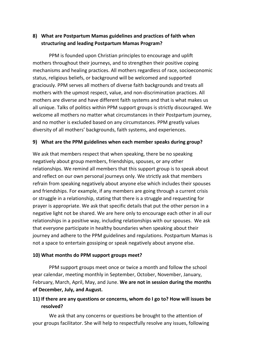# **8) What are Postpartum Mamas guidelines and practices of faith when structuring and leading Postpartum Mamas Program?**

PPM is founded upon Christian principles to encourage and uplift mothers throughout their journeys, and to strengthen their positive coping mechanisms and healing practices. All mothers regardless of race, socioeconomic status, religious beliefs, or background will be welcomed and supported graciously. PPM serves all mothers of diverse faith backgrounds and treats all mothers with the upmost respect, value, and non-discrimination practices. All mothers are diverse and have different faith systems and that is what makes us all unique. Talks of politics within PPM support groups is strictly discouraged. We welcome all mothers no matter what circumstances in their Postpartum journey, and no mother is excluded based on any circumstances. PPM greatly values diversity of all mothers' backgrounds, faith systems, and experiences.

# **9) What are the PPM guidelines when each member speaks during group?**

We ask that members respect that when speaking, there be no speaking negatively about group members, friendships, spouses, or any other relationships. We remind all members that this support group is to speak about and reflect on our own personal journeys only. We strictly ask that members refrain from speaking negatively about anyone else which includes their spouses and friendships. For example, if any members are going through a current crisis or struggle in a relationship, stating that there is a struggle and requesting for prayer is appropriate. We ask that specific details that put the other person in a negative light not be shared. We are here only to encourage each other in all our relationships in a positive way, including relationships with our spouses. We ask that everyone participate in healthy boundaries when speaking about their journey and adhere to the PPM guidelines and regulations. Postpartum Mamas is not a space to entertain gossiping or speak negatively about anyone else.

# **10) What months do PPM support groups meet?**

 PPM support groups meet once or twice a month and follow the school year calendar, meeting monthly in September, October, November, January, February, March, April, May, and June. **We are not in session during the months of December, July, and August.** 

# **11) If there are any questions or concerns, whom do I go to? How will issues be resolved?**

We ask that any concerns or questions be brought to the attention of your groups facilitator. She will help to respectfully resolve any issues, following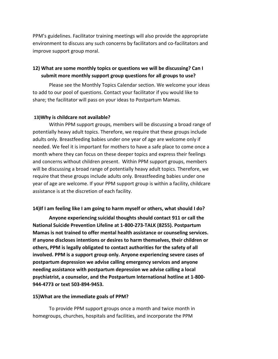PPM's guidelines. Facilitator training meetings will also provide the appropriate environment to discuss any such concerns by facilitators and co-facilitators and improve support group moral.

# **12) What are some monthly topics or questions we will be discussing? Can I submit more monthly support group questions for all groups to use?**

Please see the Monthly Topics Calendar section. We welcome your ideas to add to our pool of questions. Contact your facilitator if you would like to share; the facilitator will pass on your ideas to Postpartum Mamas.

# **13)Why is childcare not available?**

Within PPM support groups, members will be discussing a broad range of potentially heavy adult topics. Therefore, we require that these groups include adults only. Breastfeeding babies under one year of age are welcome only if needed. We feel it is important for mothers to have a safe place to come once a month where they can focus on these deeper topics and express their feelings and concerns without children present. Within PPM support groups, members will be discussing a broad range of potentially heavy adult topics. Therefore, we require that these groups include adults only. Breastfeeding babies under one year of age are welcome. If your PPM support group is within a facility, childcare assistance is at the discretion of each facility.

# **14)If I am feeling like I am going to harm myself or others, what should I do?**

**Anyone experiencing suicidal thoughts should contact 911 or call the National Suicide Prevention Lifeline at 1-800-273-TALK (8255). Postpartum Mamas is not trained to offer mental health assistance or counseling services. If anyone discloses intentions or desires to harm themselves, their children or others, PPM is legally obligated to contact authorities for the safety of all involved. PPM is a support group only. Anyone experiencing severe cases of postpartum depression we advise calling emergency services and anyone needing assistance with postpartum depression we advise calling a local psychiatrist, a counselor, and the Postpartum International hotline at 1-800- 944-4773 or text 503-894-9453.**

## **15)What are the immediate goals of PPM?**

To provide PPM support groups once a month and twice month in homegroups, churches, hospitals and facilities, and incorporate the PPM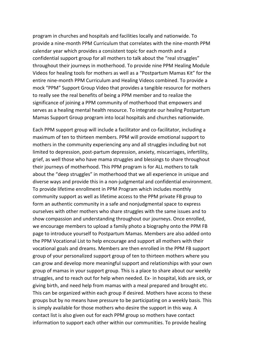program in churches and hospitals and facilities locally and nationwide. To provide a nine-month PPM Curriculum that correlates with the nine-month PPM calendar year which provides a consistent topic for each month and a confidential support group for all mothers to talk about the "real struggles" throughout their journeys in motherhood. To provide nine PPM Healing Module Videos for healing tools for mothers as well as a "Postpartum Mamas Kit" for the entire nine-month PPM Curriculum and Healing Videos combined. To provide a mock "PPM" Support Group Video that provides a tangible resource for mothers to really see the real benefits of being a PPM member and to realize the significance of joining a PPM community of motherhood that empowers and serves as a healing mental health resource. To integrate our healing Postpartum Mamas Support Group program into local hospitals and churches nationwide.

Each PPM support group will include a facilitator and co-facilitator, including a maximum of ten to thirteen members. PPM will provide emotional support to mothers in the community experiencing any and all struggles including but not limited to depression, post-partum depression, anxiety, miscarriages, infertility, grief, as well those who have mama struggles and blessings to share throughout their journeys of motherhood. This PPM program is for ALL mothers to talk about the "deep struggles" in motherhood that we all experience in unique and diverse ways and provide this in a non-judgmental and confidential environment. To provide lifetime enrollment in PPM Program which includes monthly community support as well as lifetime access to the PPM private FB group to form an authentic community in a safe and nonjudgmental space to express ourselves with other mothers who share struggles with the same issues and to show compassion and understanding throughout our journeys. Once enrolled, we encourage members to upload a family photo a biography onto the PPM FB page to introduce yourself to Postpartum Mamas. Members are also added onto the PPM Vocational List to help encourage and support all mothers with their vocational goals and dreams. Members are then enrolled in the PPM FB support group of your personalized support group of ten to thirteen mothers where you can grow and develop more meaningful support and relationships with your own group of mamas in your support group. This is a place to share about our weekly struggles, and to reach out for help when needed. Ex- in hospital, kids are sick, or giving birth, and need help from mamas with a meal prepared and brought etc. This can be organized within each group if desired. Mothers have access to these groups but by no means have pressure to be participating on a weekly basis. This is simply available for those mothers who desire the support in this way. A contact list is also given out for each PPM group so mothers have contact information to support each other within our communities. To provide healing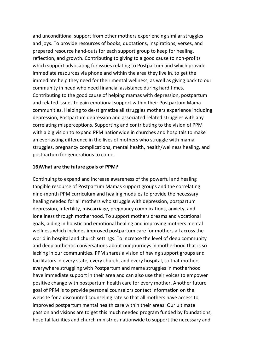and unconditional support from other mothers experiencing similar struggles and joys. To provide resources of books, quotations, inspirations, verses, and prepared resource hand-outs for each support group to keep for healing, reflection, and growth. Contributing to giving to a good cause to non-profits which support advocating for issues relating to Postpartum and which provide immediate resources via phone and within the area they live in, to get the immediate help they need for their mental wellness, as well as giving back to our community in need who need financial assistance during hard times. Contributing to the good cause of helping mamas with depression, postpartum and related issues to gain emotional support within their Postpartum Mama communities. Helping to de-stigmatize all struggles mothers experience including depression, Postpartum depression and associated related struggles with any correlating misperceptions. Supporting and contributing to the vision of PPM with a big vision to expand PPM nationwide in churches and hospitals to make an everlasting difference in the lives of mothers who struggle with mama struggles, pregnancy complications, mental health, health/wellness healing, and postpartum for generations to come.

## **16)What are the future goals of PPM?**

Continuing to expand and increase awareness of the powerful and healing tangible resource of Postpartum Mamas support groups and the correlating nine-month PPM curriculum and healing modules to provide the necessary healing needed for all mothers who struggle with depression, postpartum depression, infertility, miscarriage, pregnancy complications, anxiety, and loneliness through motherhood. To support mothers dreams and vocational goals, aiding in holistic and emotional healing and improving mothers mental wellness which includes improved postpartum care for mothers all across the world in hospital and church settings. To increase the level of deep community and deep authentic conversations about our journeys in motherhood that is so lacking in our communities. PPM shares a vision of having support groups and facilitators in every state, every church, and every hospital, so that mothers everywhere struggling with Postpartum and mama struggles in motherhood have immediate support in their area and can also use their voices to empower positive change with postpartum health care for every mother. Another future goal of PPM is to provide personal counselors contact information on the website for a discounted counseling rate so that all mothers have access to improved postpartum mental health care within their areas. Our ultimate passion and visions are to get this much needed program funded by foundations, hospital facilities and church ministries nationwide to support the necessary and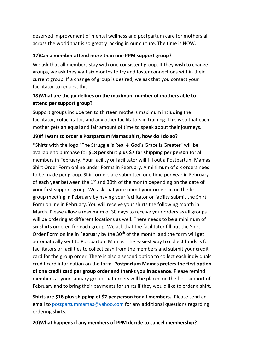deserved improvement of mental wellness and postpartum care for mothers all across the world that is so greatly lacking in our culture. The time is NOW.

# **17)Can a member attend more than one PPM support group?**

We ask that all members stay with one consistent group. If they wish to change groups, we ask they wait six months to try and foster connections within their current group. If a change of group is desired, we ask that you contact your facilitator to request this.

# **18)What are the guidelines on the maximum number of mothers able to attend per support group?**

Support groups include ten to thirteen mothers maximum including the facilitator, cofacilitator, and any other facilitators in training. This is so that each mother gets an equal and fair amount of time to speak about their journeys.

# **19)If I want to order a Postpartum Mamas shirt, how do I do so?**

\*Shirts with the logo "The Struggle is Real & God's Grace is Greater" will be available to purchase for **\$18 per shirt plus \$7 for shipping per person** for all members in February. Your facility or facilitator will fill out a Postpartum Mamas Shirt Order Form online under Forms in February. A minimum of six orders need to be made per group. Shirt orders are submitted one time per year in February of each year between the  $1<sup>st</sup>$  and 30th of the month depending on the date of your first support group. We ask that you submit your orders in on the first group meeting in February by having your facilitator or facility submit the Shirt Form online in February. You will receive your shirts the following month in March. Please allow a maximum of 30 days to receive your orders as all groups will be ordering at different locations as well. There needs to be a minimum of six shirts ordered for each group. We ask that the facilitator fill out the Shirt Order Form online in February by the 30<sup>th</sup> of the month, and the form will get automatically sent to Postpartum Mamas. The easiest way to collect funds is for facilitators or facilities to collect cash from the members and submit your credit card for the group order. There is also a second option to collect each individuals credit card information on the form. **Postpartum Mamas prefers the first option of one credit card per group order and thanks you in advance**. Please remind members at your January group that orders will be placed on the first support of February and to bring their payments for shirts if they would like to order a shirt.

**Shirts are \$18 plus shipping of \$7 per person for all members.** Please send an email to postpartummamas@yahoo.com for any additional questions regarding ordering shirts.

**20)What happens if any members of PPM decide to cancel membership?**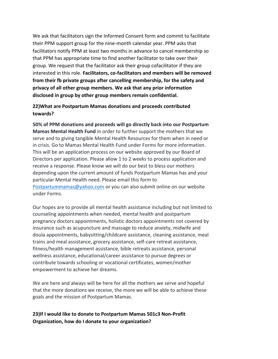We ask that facilitators sign the Informed Consent form and commit to facilitate their PPM support group for the nine-month calendar year. PPM asks that facilitators notify PPM at least two months in advance to cancel membership so that PPM has appropriate time to find another facilitator to take over their group. We request that the facilitator ask their group cofacilitator if they are interested in this role. **Facilitators, co-facilitators and members will be removed from their fb private groups after cancelling membership, for the safety and privacy of all other group members. We ask that any prior information disclosed in group by other group members remain confidential.** 

# **22)What are Postpartum Mamas donations and proceeds contributed towards?**

**50% of PPM donations and proceeds will go directly back into our Postpartum Mamas Mental Health Fund** in order to further support the mothers that we serve and to giving tangible Mental Health Resources for them when in need or in crisis. Go to Mamas Mental Health Fund under Forms for more information. This will be an application process on our website approved by our Board of Directors per application. Please allow 1 to 2 weeks to process application and receive a response. Please know we will do our best to bless our mothers depending upon the current amount of funds Postpartum Mamas has and your particular Mental Health need. Please email this form to Postpartummamas@yahoo.com or you can also submit online on our website under Forms.

Our hopes are to provide all mental health assistance including but not limited to counseling appointments when needed, mental health and postpartum pregnancy doctors appointments, holistic doctors appointments not covered by insurance such as acupuncture and massage to reduce anxiety, midwife and doula appointments, babysitting/childcare assistance, cleaning assistance, meal trains and meal assistance, grocery assistance, self-care retreat assistance, fitness/health management assistance, bible retreats assistance, personal wellness assistance, educational/career assistance to pursue degrees or contribute towards schooling or vocational certificates, women/mother empowerment to achieve her dreams.

We are here and always will be here for all the mothers we serve and hopeful that the more donations we receive, the more we will be able to achieve these goals and the mission of Postpartum Mamas.

# **23)If I would like to donate to Postpartum Mamas 501c3 Non-Profit Organization, how do I donate to your organization?**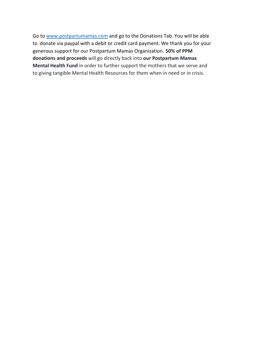Go t[o www.postpartumamas.com](http://www.postpartumamas.com/) and go to the Donations Tab. You will be able to donate via paypal with a debit or credit card payment. We thank you for your generous support for our Postpartum Mamas Organization. **50% of PPM donations and proceeds** will go directly back into **our Postpartum Mamas Mental Health Fund** in order to further support the mothers that we serve and to giving tangible Mental Health Resources for them when in need or in crisis.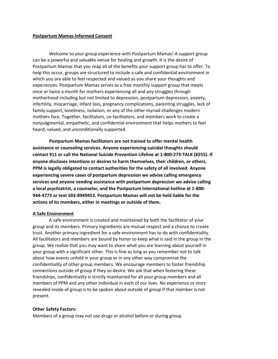#### **Postpartum Mamas Informed Consent**

Welcome to your group experience with Postpartum Mamas! A support group can be a powerful and valuable venue for healing and growth. It is the desire of Postpartum Mamas that you reap all of the benefits your support group has to offer. To help this occur, groups are structured to include a safe and confidential environment in which you are able to feel respected and valued as you share your thoughts and experiences. Postpartum Mamas serves as a free monthly support group that meets once or twice a month for mothers experiencing all and any struggles through motherhood including but not limited to depression, postpartum depression, anxiety, infertility, miscarriage, infant loss, pregnancy complications, parenting struggles, lack of family support, loneliness, isolation, or any of the other myriad challenges modern mothers face. Together, facilitators, co-facilitators, and members work to create a nonjudgmental, empathetic, and confidential environment that helps mothers to feel heard, valued, and unconditionally supported.

**Postpartum Mamas facilitators are not trained to offer mental health assistance or counseling services. Anyone experiencing suicidal thoughts should contact 911 or call the National Suicide Prevention Lifeline at 1-800-273-TALK (8255). If anyone discloses intentions or desires to harm themselves, their children, or others, PPM is legally obligated to contact authorities for the safety of all involved. Anyone experiencing severe cases of postpartum depression we advise calling emergency services and anyone needing assistance with postpartum depression we advise calling a local psychiatrist, a counselor, and the Postpartum International hotline at 1-800- 944-4773 or text 503-8949453. Postpartum Mamas will not be held liable for the actions of its members, either in meetings or outside of them.** 

#### **A Safe Environment**

A safe environment is created and maintained by both the facilitator of your group and its members. Primary ingredients are mutual respect and a chance to create trust. Another primary ingredient for a safe environment has to do with confidentiality. All facilitators and members are bound by honor to keep what is said in the group in the group. We realize that you may want to share what you are learning about yourself in your group with a significant other. This is fine as long as you remember not to talk about how events unfold in your group or in any other way compromise the confidentiality of other group members. We encourage members to foster friendship connections outside of group if they so desire. We ask that when fostering these friendships, confidentiality is strictly maintained for all your group members and all members of PPM and any other individual in each of our lives. No experience or story revealed inside of group is to be spoken about outside of group if that member is not present.

#### **Other Safety Factors:**

Members of a group may not use drugs or alcohol before or during group.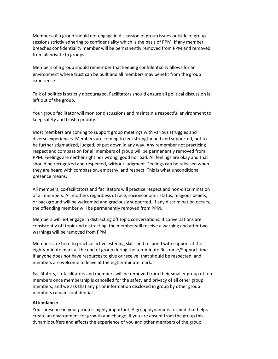Members of a group should not engage in discussion of group issues outside of group sessions strictly adhering to confidentiality which is the basis of PPM. If any member breaches confidentiality member will be permanently removed from PPM and removed from all private fb groups.

Members of a group should remember that keeping confidentiality allows for an environment where trust can be built and all members may benefit from the group experience.

Talk of politics is strictly discouraged. Facilitators should ensure all political discussion is left out of the group.

Your group facilitator will monitor discussions and maintain a respectful environment to keep safety and trust a priority.

Most members are coming to support group meetings with various struggles and diverse experiences. Members are coming to feel strengthened and supported, not to be further stigmatized, judged, or put down in any way. Any remember not practicing respect and compassion for all members of group will be permanently removed from PPM. Feelings are neither right nor wrong, good nor bad. All feelings are okay and that should be recognized and respected, without judgment. Feelings can be released when they are heard with compassion, empathy, and respect. This is what unconditional presence means.

All members, co-facilitators and facilitators will practice respect and non-discrimination of all members. All mothers regardless of race, socioeconomic status, religious beliefs, or background will be welcomed and graciously supported. If any discrimination occurs, the offending member will be permanently removed from PPM.

Members will not engage in distracting off topic conversations. If conversations are consistently off topic and distracting, the member will receive a warning and after two warnings will be removed from PPM.

Members are here to practice active listening skills and respond with support at the eighty-minute mark at the end of group during the ten-minute Resource/Support time. If anyone does not have resources to give or receive, that should be respected, and members are welcome to leave at the eighty-minute mark.

Facilitators, co-facilitators and members will be removed from their smaller group of ten members once membership is cancelled for the safety and privacy of all other group members, and we ask that any prior information disclosed in group by other group members remain confidential.

## **Attendance:**

Your presence in your group is highly important. A group dynamic is formed that helps create an environment for growth and change. If you are absent from the group this dynamic suffers and affects the experience of you and other members of the group.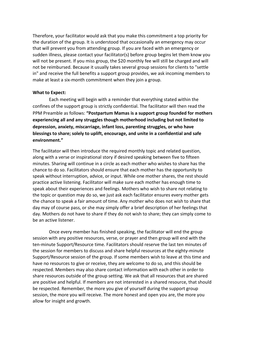Therefore, your facilitator would ask that you make this commitment a top priority for the duration of the group. It is understood that occasionally an emergency may occur that will prevent you from attending group. If you are faced with an emergency or sudden illness, please contact your facilitator(s) before group begins let them know you will not be present. If you miss group, the \$20 monthly fee will still be charged and will not be reimbursed. Because it usually takes several group sessions for clients to "settle in" and receive the full benefits a support group provides, we ask incoming members to make at least a six-month commitment when they join a group.

#### **What to Expect:**

Each meeting will begin with a reminder that everything stated within the confines of the support group is strictly confidential. The facilitator will then read the PPM Preamble as follows: **"Postpartum Mamas is a support group founded for mothers experiencing all and any struggles though motherhood including but not limited to depression, anxiety, miscarriage, infant loss, parenting struggles, or who have blessings to share; solely to uplift, encourage, and unite in a confidential and safe environment."** 

The facilitator will then introduce the required monthly topic and related question, along with a verse or inspirational story if desired speaking between five to fifteen minutes. Sharing will continue in a circle as each mother who wishes to share has the chance to do so. Facilitators should ensure that each mother has the opportunity to speak without interruption, advice, or input. While one mother shares, the rest should practice active listening. Facilitator will make sure each mother has enough time to speak about their experiences and feelings. Mothers who wish to share not relating to the topic or question may do so, we just ask each facilitator ensures every mother gets the chance to speak a fair amount of time. Any mother who does not wish to share that day may of course pass, or she may simply offer a brief description of her feelings that day. Mothers do not have to share if they do not wish to share; they can simply come to be an active listener.

Once every member has finished speaking, the facilitator will end the group session with any positive resources, verse, or prayer and then group will end with the ten-minute Support/Resource time. Facilitators should reserve the last ten minutes of the session for members to discuss and share helpful resources at the eighty-minute Support/Resource session of the group. If some members wish to leave at this time and have no resources to give or receive, they are welcome to do so, and this should be respected. Members may also share contact information with each other in order to share resources outside of the group setting. We ask that all resources that are shared are positive and helpful. If members are not interested in a shared resource, that should be respected. Remember, the more you give of yourself during the support group session, the more you will receive. The more honest and open you are, the more you allow for insight and growth.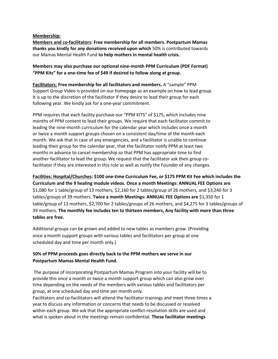**Membership:**

**Members and co-facilitators: Free membership for all members. Postpartum Mamas thanks you kindly for any donations received upon which** 50% is contributed towards our Mamas Mental Health Fund **to help mothers in mental health crisis.**

**Members may also purchase our optional nine-month PPM Curriculum (PDF Format) "PPM Kits" for a one-time fee of \$49 if desired to follow along at group.** 

**Facilitators**: **Free membership for all facilitators and members.** A "sample" PPM Support Group Video is provided on our homepage as an example on how to lead group. It is up to the discretion of the facilitator if they desire to lead their group for each following year. We kindly ask for a one-year commitment.

PPM requires that each facility purchase our "PPM KITS" of \$175, which includes nine months of PPM content to lead their groups. We require that each facilitator commit to leading the nine-month curriculum for the calendar year which includes once a month or twice a month support groups chosen on a consistent day/time of the month each month. We ask that in case of any emergencies, and a facilitator is unable to continue leading their group for the calendar year, that the facilitator notify PPM at least two months in advance to cancel membership so that PPM has appropriate time to find another facilitator to lead the group. We request that the facilitator ask their group cofacilitator if they are interested in this role as well as notify the Founder of any changes.

**Facilities: Hospital/Churches: \$100 one-time Curriculum Fee, or \$175 PPM Kit Fee which includes the Curriculum and the 9 healing module videos. Once a month Meetings: ANNUAL FEE Options are** \$1,080 for 1 table/group of 13 mothers, \$2,160 for 2 tables/group of 26 mothers, and \$3,240 for 3 tables/groups of 39 mothers. **Twice a month Meetings: ANNUAL FEE Options are** \$1,350 for 1 table/group of 13 mothers, \$2,700 for 2 tables/groups of 26 mothers, and \$4,275 for 3 tables/groups of 39 mothers. **The monthly fee includes ten to thirteen members, Any facility with more than three tables are free.** 

Additional groups can be grown and added to new tables as members grow. (Providing once a month support groups with various tables and facilitators per group at one scheduled day and time per month only.)

# **50% of PPM proceeds goes directly back to the PPM mothers we serve in our Postpartum Mamas Mental Health Fund.**

The purpose of incorporating Postpartum Mamas Program into your facility will be to provide this once a month or twice a month support group which can also grow over time depending on the needs of the members with various tables and facilitators per group, at one scheduled day and time per month only.

Facilitators and co-facilitators will attend the facilitator trainings and meet three times a year to discuss any information or concerns that needs to be discussed or resolved within each group. We ask that the appropriate conflict-resolution skills are used and what is spoken about in the meetings remain confidential. **These facilitator meetings**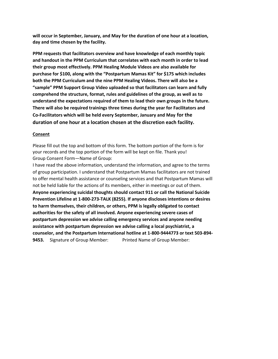**will occur in September, January, and May for the duration of one hour at a location, day and time chosen by the facility.** 

**PPM requests that facilitators overview and have knowledge of each monthly topic and handout in the PPM Curriculum that correlates with each month in order to lead their group most effectively. PPM Healing Module Videos are also available for purchase for \$100, along with the "Postpartum Mamas Kit" for \$175 which includes both the PPM Curriculum and the nine PPM Healing Videos. There will also be a "sample" PPM Support Group Video uploaded so that facilitators can learn and fully comprehend the structure, format, rules and guidelines of the group, as well as to understand the expectations required of them to lead their own groups in the future. There will also be required trainings three times during the year for Facilitators and Co-Facilitators which will be held every September, January and May for the duration of one hour at a location chosen at the discretion each facility.** 

## **Consent**

Please fill out the top and bottom of this form. The bottom portion of the form is for your records and the top portion of the form will be kept on file. Thank you! Group Consent Form—Name of Group:

I have read the above information, understand the information, and agree to the terms of group participation. I understand that Postpartum Mamas facilitators are not trained to offer mental health assistance or counseling services and that Postpartum Mamas will not be held liable for the actions of its members, either in meetings or out of them. **Anyone experiencing suicidal thoughts should contact 911 or call the National Suicide Prevention Lifeline at 1-800-273-TALK (8255). If anyone discloses intentions or desires to harm themselves, their children, or others, PPM is legally obligated to contact authorities for the safety of all involved. Anyone experiencing severe cases of postpartum depression we advise calling emergency services and anyone needing assistance with postpartum depression we advise calling a local psychiatrist, a counselor, and the Postpartum International hotline at 1-800-9444773 or text 503-894- 9453.** Signature of Group Member: Printed Name of Group Member: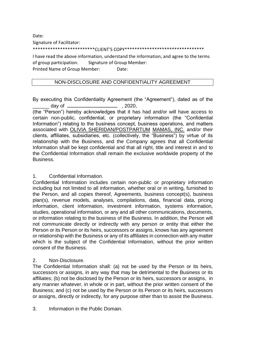Date:

Signature of Facilitator:

\*\*\*\*\*\*\*\*\*\*\*\*\*\*\*\*\*\*\*\*\*\*\*\*\*CLIENT'S COPY\*\*\*\*\*\*\*\*\*\*\*\*\*\*\*\*\*\*\*\*\*\*\*\*\*\*\*\*\*\*\*\*

I have read the above information, understand the information, and agree to the terms of group participation. Signature of Group Member: Printed Name of Group Member: Date:

## NON-DISCLOSURE AND CONFIDENTIALITY AGREEMENT

By executing this Confidentiality Agreement (the "Agreement"), dated as of the  $\Box$  day of  $\Box$  , 2020,

(the "Person") hereby acknowledges that it has had and/or will have access to certain non-public, confidential, or proprietary information (the "Confidential Information") relating to the business concept, business operations, and matters associated with OLIVIA SHERIDAN/POSTPARTUM MAMAS, INC. and/or their clients, affiliates, subsidiaries, etc. (collectively, the "Business") by virtue of its relationship with the Business, and the Company agrees that all Confidential Information shall be kept confidential and that all right, title and interest in and to the Confidential Information shall remain the exclusive worldwide property of the Business.

## 1. Confidential Information.

Confidential Information includes certain non-public or proprietary information including but not limited to all information, whether oral or in writing, furnished to the Person, and all copies thereof, Agreements, business concept(s), business plan(s), revenue models, analyses, compilations, data, financial data, pricing information, client information, investment information, systems information, studies, operational information, or any and all other communications, documents, or information relating to the business of the Business. In addition, the Person will not communicate directly or indirectly with any person or entity that either the Person or its Person or its heirs, successors or assigns, knows has any agreement or relationship with the Business or any of its affiliates in connection with any matter which is the subject of the Confidential Information, without the prior written consent of the Business.

# 2. Non-Disclosure.

The Confidential Information shall: (a) not be used by the Person or its heirs, successors or assigns, in any way that may be detrimental to the Business or its affiliates; (b) not be disclosed by the Person or its heirs, successors or assigns, in any manner whatever, in whole or in part, without the prior written consent of the Business; and (c) not be used by the Person or its Person or its heirs, successors or assigns, directly or indirectly, for any purpose other than to assist the Business.

3. Information in the Public Domain.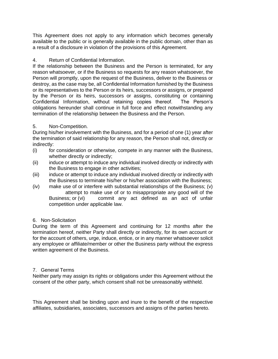This Agreement does not apply to any information which becomes generally available to the public or is generally available in the public domain, other than as a result of a disclosure in violation of the provisions of this Agreement.

# 4. Return of Confidential Information.

If the relationship between the Business and the Person is terminated, for any reason whatsoever, or if the Business so requests for any reason whatsoever, the Person will promptly, upon the request of the Business, deliver to the Business or destroy, as the case may be, all Confidential Information furnished by the Business or its representatives to the Person or its heirs, successors or assigns, or prepared by the Person or its heirs, successors or assigns, constituting or containing Confidential Information, without retaining copies thereof. The Person's obligations hereunder shall continue in full force and effect notwithstanding any termination of the relationship between the Business and the Person.

# 5. Non-Competition.

During his/her involvement with the Business, and for a period of one (1) year after the termination of said relationship for any reason, the Person shall not, directly or indirectly:

- (i) for consideration or otherwise, compete in any manner with the Business, whether directly or indirectly;
- (ii) induce or attempt to induce any individual involved directly or indirectly with the Business to engage in other activities;
- (iii) induce or attempt to induce any individual involved directly or indirectly with the Business to terminate his/her or his/her association with the Business;
- (iv) make use of or interfere with substantial relationships of the Business; (v) attempt to make use of or to misappropriate any good will of the Business; or (vi) commit any act defined as an act of unfair competition under applicable law.

# 6. Non-Solicitation

During the term of this Agreement and continuing for 12 months after the termination hereof, neither Party shall directly or indirectly, for its own account or for the account of others, urge, induce, entice, or in any manner whatsoever solicit any employee or affiliate/member or other the Business party without the express written agreement of the Business.

# 7. General Terms

Neither party may assign its rights or obligations under this Agreement without the consent of the other party, which consent shall not be unreasonably withheld.

This Agreement shall be binding upon and inure to the benefit of the respective affiliates, subsidiaries, associates, successors and assigns of the parties hereto.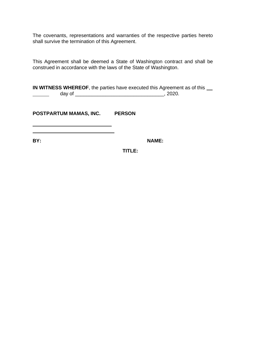The covenants, representations and warranties of the respective parties hereto shall survive the termination of this Agreement.

This Agreement shall be deemed a State of Washington contract and shall be construed in accordance with the laws of the State of Washington.

**IN WITNESS WHEREOF**, the parties have executed this Agreement as of this \_\_ day of \_\_\_\_\_\_\_\_\_\_\_\_\_\_\_\_\_\_\_\_\_\_\_\_\_\_\_\_\_\_\_\_, 2020.

**POSTPARTUM MAMAS, INC. PERSON** 

BY: NAME:

**TITLE:**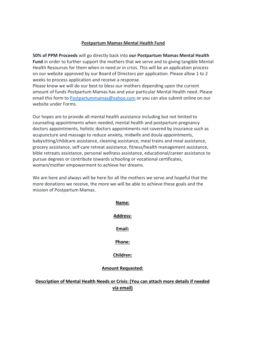#### **Postpartum Mamas Mental Health Fund**

**50% of PPM Proceeds** will go directly back into **our Postpartum Mamas Mental Health Fund** in order to further support the mothers that we serve and to giving tangible Mental Health Resources for them when in need or in crisis. This will be an application process on our website approved by our Board of Directors per application. Please allow 1 to 2 weeks to process application and receive a response.

Please know we will do our best to bless our mothers depending upon the current amount of funds Postpartum Mamas has and your particular Mental Health need. Please email this form to Postpartummamas@yahoo.com or you can also submit online on our website under Forms.

Our hopes are to provide all mental health assistance including but not limited to counseling appointments when needed, mental health and postpartum pregnancy doctors appointments, holistic doctors appointments not covered by insurance such as acupuncture and massage to reduce anxiety, midwife and doula appointments, babysitting/childcare assistance, cleaning assistance, meal trains and meal assistance, grocery assistance, self-care retreat assistance, fitness/health management assistance, bible retreats assistance, personal wellness assistance, educational/career assistance to pursue degrees or contribute towards schooling or vocational certificates, women/mother empowerment to achieve her dreams.

We are here and always will be here for all the mothers we serve and hopeful that the more donations we receive, the more we will be able to achieve these goals and the mission of Postpartum Mamas.

# **Name: Address: Email: Phone:**

# **Children:**

## **Amount Requested:**

## **Description of Mental Health Needs or Crisis: (You can attach more details if needed via email)**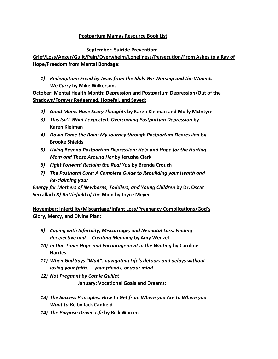# **Postpartum Mamas Resource Book List**

# **September: Suicide Prevention:**

**Grief/Loss/Anger/Guilt/Pain/Overwhelm/Loneliness/Persecution/From Ashes to a Ray of Hope/Freedom from Mental Bondage:**

*1) Redemption: Freed by Jesus from the Idols We Worship and the Wounds We Carry* **by Mike Wilkerson.** 

**October: Mental Health Month: Depression and Postpartum Depression/Out of the Shadows/Forever Redeemed, Hopeful, and Saved:**

- *2) Good Moms Have Scary Thoughts* **by Karen Kleiman and Molly McIntyre**
- *3) This Isn't What I expected: Overcoming Postpartum Depression* **by Karen Kleiman**
- *4) Down Came the Rain: My Journey through Postpartum Depression* **by Brooke Shields**
- *5) Living Beyond Postpartum Depression: Help and Hope for the Hurting Mom and Those Around Her* **by Jerusha Clark**
- *6) Fight Forward Reclaim the Real You* **by Brenda Crouch**
- *7) The Postnatal Cure: A Complete Guide to Rebuilding your Health and Re-claiming your*

*Energy for Mothers of Newborns, Toddlers, and Young Children* **by Dr. Oscar Serrallach** *8) Battlefield of the* **Mind by Joyce Meyer** 

**November: Infertility/Miscarriage/Infant Loss/Pregnancy Complications/God's Glory, Mercy, and Divine Plan:**

- *9) Coping with Infertility, Miscarriage, and Neonatal Loss: Finding Perspective and Creating Meaning* **by Amy Wenzel**
- *10) In Due Time: Hope and Encouragement in the Waiting* **by Caroline Harries**
- *11) When God Says "Wait". navigating Life's detours and delays without losing your faith, your friends, or your mind*
- *12) Not Pregnant by Cathie Quillet* **January: Vocational Goals and Dreams:**
- *13) The Success Principles: How to Get from Where you Are to Where you Want to Be* **by Jack Canfield**
- *14) The Purpose Driven Life* **by Rick Warren**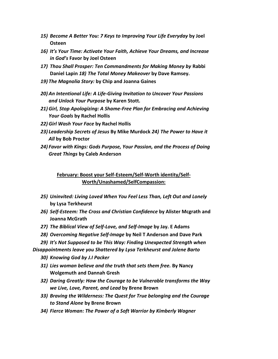- *15) Become A Better You: 7 Keys to Improving Your Life Everyday* **by Joel Osteen**
- *16) It's Your Time: Activate Your Faith, Achieve Your Dreams, and Increase in God's* **Favor by Joel Osteen**
- *17) Thou Shall Prosper: Ten Commandments for Making Money by* **Rabbi Daniel Lapin** *18) The Total Money Makeover* **by Dave Ramsey.**
- *19) The Magnolia Story:* **by Chip and Joanna Gaines**
- *20) An Intentional Life: A Life-Giving Invitation to Uncover Your Passions and Unlock Your Purpose* **by Karen Stott.**
- *21) Girl, Stop Apologizing: A Shame-Free Plan for Embracing and Achieving Your Goals* **by Rachel Hollis**
- *22) Girl Wash Your Face* **by Rachel Hollis**
- *23) Leadership Secrets of Jesus* **By Mike Murdock** *24) The Power to Have it All* **by Bob Proctor**
- *24) Favor with Kings: Gods Purpose, Your Passion, and the Process of Doing Great Things* **by Caleb Anderson**

# **February: Boost your Self-Esteem/Self-Worth identity/Self-Worth/Unashamed/SelfCompassion:**

- *25) Uninvited: Living Loved When You Feel Less Than, Left Out and Lonely*  **by Lysa Terkheurst**
- *26) Self-Esteem: The Cross and Christian Confidence* **by Alister Mcgrath and Joanna McGrath**
- *27) The Biblical View of Self-Love, and Self-Image* **by Jay. E Adams**
- *28) Overcoming Negative Self-Image* **by Neil T Anderson and Dave Park**
- *29) It's Not Supposed to be This Way: Finding Unexpected Strength when*

*Disappointments leave you Shattered by Lysa Terkheurst and Jolene Barto*

- *30) Knowing God by J.I Packer*
- *31) Lies woman believe and the truth that sets them free.* **By Nancy Wolgemuth and Dannah Gresh**
- *32) Daring Greatly: How the Courage to be Vulnerable transforms the Way we Live, Love, Parent, and Lead* **by Brene Brown**
- *33) Braving the Wilderness: The Quest for True belonging and the Courage to Stand Alone* **by Brene Brown**
- *34) Fierce Woman: The Power of a Soft Warrior by Kimberly Wagner*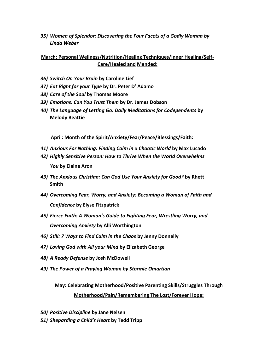*35) Women of Splendor: Discovering the Four Facets of a Godly Woman by Linda Weber*

# **March: Personal Wellness/Nutrition/Healing Techniques/Inner Healing/Self-Care/Healed and Mended:**

- *36) Switch On Your Brain* **by Caroline Lief**
- *37) Eat Right for your Type* **by Dr. Peter D' Adamo**
- *38) Care of the Soul* **by Thomas Moore**
- *39) Emotions: Can You Trust Them* **by Dr. James Dobson**
- *40) The Language of Letting Go: Daily Meditations for Codependents* **by Melody Beattie**

**April: Month of the Spirit/Anxiety/Fear/Peace/Blessings/Faith:**

- *41) Anxious For Nothing: Finding Calm in a Chaotic World* **by Max Lucado**
- *42) Highly Sensitive Person: How to Thrive When the World Overwhelms You* **by Elaine Aron**
- *43) The Anxious Christian: Can God Use Your Anxiety for Good?* **by Rhett Smith**
- *44) Overcoming Fear, Worry, and Anxiety: Becoming a Woman of Faith and Confidence* **by Elyse Fitzpatrick**
- *45) Fierce Faith: A Woman's Guide to Fighting Fear, Wrestling Worry, and Overcoming Anxiety* **by Alli Worthington**
- *46) Still: 7 Ways to Find Calm in the Chaos* **by Jenny Donnelly**
- *47) Loving God with All your Mind* **by Elizabeth George**
- *48) A Ready Defense* **by Josh McDowell**
- *49) The Power of a Praying Woman by Stormie Omartian*

# **May: Celebrating Motherhood/Positive Parenting Skills/Struggles Through Motherhood/Pain/Remembering The Lost/Forever Hope:**

- *50) Positive Discipline* **by Jane Nelsen**
- *51) Sheparding a Child's Heart* **by Tedd Tripp**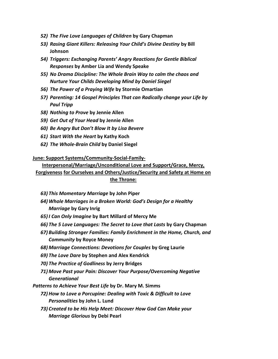- *52) The Five Love Languages of Children* **by Gary Chapman**
- *53) Rasing Giant Killers: Releasing Your Child's Divine Destiny* **by Bill Johnson**
- *54) Triggers: Exchanging Parents' Angry Reactions for Gentle Biblical Responses* **by Amber Lia and Wendy Speake**
- *55) No Drama Discipline: The Whole Brain Way to calm the chaos and Nurture Your Childs Developing Mind by Daniel Siegel*
- *56) The Power of a Praying Wife* **by Stormie Omartian**
- *57) Parenting: 14 Gospel Principles That can Radically change your Life by Paul Tripp*
- *58) Nothing to Prove* **by Jennie Allen**
- *59) Get Out of Your Head* **by Jennie Allen**
- *60) Be Angry But Don't Blow It by Lisa Bevere*
- *61) Start With the Heart* **by Kathy Koch**
- *62) The Whole-Brain Child* **by Daniel Siegel**

#### **June: Support Systems/Community-Social-Family-**

**Interpersonal/Marriage/Unconditional Love and Support/Grace, Mercy, Forgiveness for Ourselves and Others/Justice/Security and Safety at Home on** 

# **the Throne:**

- *63) This Momentary Marriage* **by John Piper**
- *64) Whole Marriages in a Broken World: God's Design for a Healthy Marriage* **by Gary Inrig**
- *65) I Can Only Imagine* **by Bart Millard of Mercy Me**
- *66) The 5 Love Languages: The Secret to Love that Lasts* **by Gary Chapman**
- *67) Building Stronger Families: Family Enrichment in the Home, Church, and Community* **by Royce Money**
- *68) Marriage Connections: Devotions for Couples* **by Greg Laurie**
- *69) The Love Dare* **by Stephen and Alex Kendrick**
- *70) The Practice of Godliness* **by Jerry Bridges**
- *71) Move Past your Pain: Discover Your Purpose/Overcoming Negative Generational*

*Patterns to Achieve Your Best Life* **by Dr. Mary M. Simms**

- *72) How to Love a Porcupine: Dealing with Toxic & Difficult to Love Personalities* **by John L. Lund**
- *73) Created to be His Help Meet: Discover How God Can Make your Marriage Glorious* **by Debi Pearl**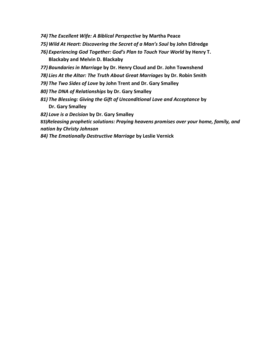- *74) The Excellent Wife: A Biblical Perspective* **by Martha Peace**
- *75) Wild At Heart: Discovering the Secret of a Man's Soul* **by John Eldredge**
- *76) Experiencing God Together: God's Plan to Touch Your World* **by Henry T. Blackaby and Melvin D. Blackaby**
- *77) Boundaries in Marriage* **by Dr. Henry Cloud and Dr. John Townshend**
- *78) Lies At the Altar: The Truth About Great Marriages* **by Dr. Robin Smith**
- *79) The Two Sides of Love* **by John Trent and Dr. Gary Smalley**
- *80) The DNA of Relationships* **by Dr. Gary Smalley**
- *81) The Blessing: Giving the Gift of Unconditional Love and Acceptance* **by Dr. Gary Smalley**

*82) Love is a Decision* **by Dr. Gary Smalley** 

**83)***Releasing prophetic solutions: Praying heavens promises over your home, family, and nation by Christy Johnson*

*84) The Emotionally Destructive Marriage* **by Leslie Vernick**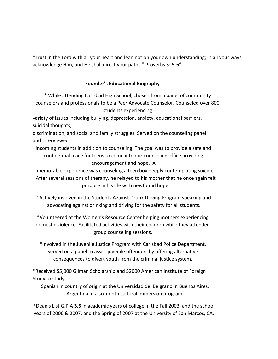"Trust in the Lord with all your heart and lean not on your own understanding; in all your ways acknowledge Him, and He shall direct your paths." Proverbs 3: 5-6"

# **Founder's Educational Biography**

\* While attending Carlsbad High School, chosen from a panel of community counselors and professionals to be a Peer Advocate Counselor. Counseled over 800 students experiencing

variety of issues including bullying, depression, anxiety, educational barriers, suicidal thoughts,

discrimination, and social and family struggles. Served on the counseling panel and interviewed

incoming students in addition to counseling. The goal was to provide a safe and confidential place for teens to come into our counseling office providing encouragement and hope. A

memorable experience was counseling a teen boy deeply contemplating suicide. After several sessions of therapy, he relayed to his mother that he once again felt purpose in his life with newfound hope.

\*Actively involved in the Students Against Drunk Driving Program speaking and advocating against drinking and driving for the safety for all students.

\*Volunteered at the Women's Resource Center helping mothers experiencing domestic violence. Facilitated activities with their children while they attended group counseling sessions.

\*Involved in the Juvenile Justice Program with Carlsbad Police Department. Served on a panel to assist juvenile offenders by offering alternative consequences to divert youth from the criminal justice system.

\*Received \$5,000 Gilman Scholarship and \$2000 American Institute of Foreign Study to study

Spanish in country of origin at the Universidad del Belgrano in Buenos Aires, Argentina in a sixmonth cultural immersion program.

\*Dean's List G.P.A **3.5** in academic years of college in the Fall 2003, and the school years of 2006 & 2007, and the Spring of 2007 at the University of San Marcos, CA.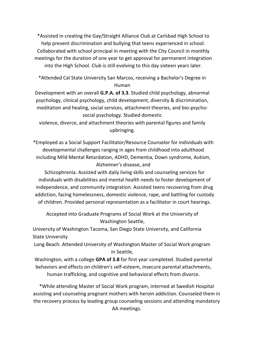\*Assisted in creating the Gay/Straight Alliance Club at Carlsbad High School to help prevent discrimination and bullying that teens experienced in school. Collaborated with school principal in meeting with the City Council in monthly meetings for the duration of one year to get approval for permanent integration into the High School. Club is still evolving to this day sixteen years later.

\*Attended Cal State University San Marcos, receiving a Bachelor's Degree in Human

Development with an overall **G.P.A. of 3.3**. Studied child psychology, abnormal psychology, clinical psychology, child development, diversity & discrimination, meditation and healing, social services, attachment theories, and bio-psychosocial psychology. Studied domestic

violence, divorce, and attachment theories with parental figures and family upbringing.

\*Employed as a Social Support Facilitator/Resource Counselor for individuals with developmental challenges ranging in ages from childhood into adulthood including Mild Mental Retardation, ADHD, Dementia, Down syndrome, Autism, Alzheimer's disease, and

Schizophrenia. Assisted with daily living skills and counseling services for individuals with disabilities and mental health needs to foster development of independence, and community integration. Assisted teens recovering from drug addiction, facing homelessness, domestic violence, rape, and battling for custody of children. Provided personal representation as a facilitator in court hearings.

Accepted into Graduate Programs of Social Work at the University of Washington Seattle,

University of Washington Tacoma, San Diego State University, and California State University

Long Beach. Attended University of Washington Master of Social Work program in Seattle,

Washington, with a college **GPA of 3.8** for first year completed. Studied parental behaviors and effects on children's self-esteem, insecure parental attachments, human trafficking, and cognitive and behavioral effects from divorce.

\*While attending Master of Social Work program, interned at Swedish Hospital assisting and counseling pregnant mothers with heroin addiction. Counseled them in the recovery process by leading group counseling sessions and attending mandatory AA meetings.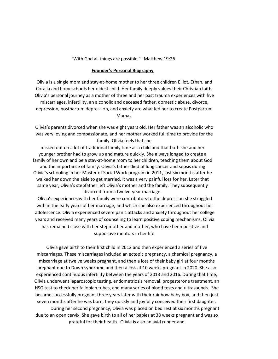#### "With God all things are possible."--Matthew 19:26

#### **Founder's Personal Biography**

Olivia is a single mom and stay-at-home mother to her three children Elliot, Ethan, and Coralia and homeschools her oldest child. Her family deeply values their Christian faith. Olivia's personal journey as a mother of three and her past trauma experiences with five miscarriages, infertility, an alcoholic and deceased father, domestic abuse, divorce, depression, postpartum depression, and anxiety are what led her to create Postpartum Mamas.

Olivia's parents divorced when she was eight years old. Her father was an alcoholic who was very loving and compassionate, and her mother worked full time to provide for the family. Olivia feels that she

missed out on a lot of traditional family time as a child and that both she and her younger brother had to grow up and mature quickly. She always longed to create a family of her own and be a stay-at-home mom to her children, teaching them about God and the importance of family. Olivia's father died of lung cancer and sepsis during Olivia's schooling in her Master of Social Work program in 2011, just six months after he walked her down the aisle to get married. It was a very painful loss for her. Later that same year, Olivia's stepfather left Olivia's mother and the family. They subsequently divorced from a twelve-year marriage.

Olivia's experiences with her family were contributors to the depression she struggled with in the early years of her marriage, and which she also experienced throughout her adolescence. Olivia experienced severe panic attacks and anxiety throughout her college years and received many years of counseling to learn positive coping mechanisms. Olivia has remained close with her stepmother and mother, who have been positive and supportive mentors in her life.

Olivia gave birth to their first child in 2012 and then experienced a series of five miscarriages. These miscarriages included an ectopic pregnancy, a chemical pregnancy, a miscarriage at twelve weeks pregnant, and then a loss of their baby girl at four months pregnant due to Down syndrome and then a loss at 10 weeks pregnant in 2020. She also experienced continuous infertility between the years of 2013 and 2016. During that time, Olivia underwent laparoscopic testing, endometriosis removal, progesterone treatment, an HSG test to check her fallopian tubes, and many series of blood tests and ultrasounds. She became successfully pregnant three years later with their rainbow baby boy, and then just seven months after he was born, they quickly and joyfully conceived their first daughter.

During her second pregnancy, Olivia was placed on bed rest at six months pregnant due to an open cervix. She gave birth to all of her babies at 38 weeks pregnant and was so grateful for their health. Olivia is also an avid runner and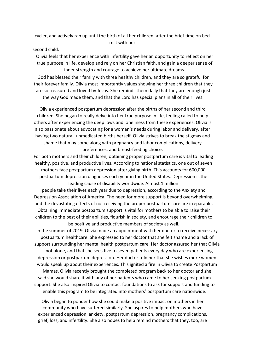cycler, and actively ran up until the birth of all her children, after the brief time on bed rest with her

second child.

Olivia feels that her experience with infertility gave her an opportunity to reflect on her true purpose in life, develop and rely on her Christian faith, and gain a deeper sense of inner strength and courage to achieve her ultimate dreams.

God has blessed their family with three healthy children, and they are so grateful for their forever family. Olivia most importantly values showing her three children that they are so treasured and loved by Jesus. She reminds them daily that they are enough just the way God made them, and that the Lord has special plans in all of their lives.

Olivia experienced postpartum depression after the births of her second and third children. She began to really delve into her true purpose in life, feeling called to help others after experiencing the deep lows and loneliness from these experiences. Olivia is also passionate about advocating for a woman's needs during labor and delivery, after having two natural, unmedicated births herself. Olivia strives to break the stigmas and shame that may come along with pregnancy and labor complications, delivery preferences, and breast-feeding choice.

For both mothers and their children, obtaining proper postpartum care is vital to leading healthy, positive, and productive lives. According to national statistics, one out of seven mothers face postpartum depression after giving birth. This accounts for 600,000 postpartum depression diagnoses each year in the United States. Depression is the leading cause of disability worldwide. Almost 1 million

people take their lives each year due to depression, according to the Anxiety and Depression Association of America. The need for more support is beyond overwhelming, and the devastating effects of not receiving the proper postpartum care are irreparable. Obtaining immediate postpartum support is vital for mothers to be able to raise their children to the best of their abilities, flourish in society, and encourage their children to be positive and productive members of society as well.

In the summer of 2019, Olivia made an appointment with her doctor to receive necessary postpartum healthcare. She expressed to her doctor that she felt shame and a lack of support surrounding her mental health postpartum care. Her doctor assured her that Olivia is not alone, and that she sees five to seven patients every day who are experiencing depression or postpartum depression. Her doctor told her that she wishes more women would speak up about their experiences. This ignited a fire in Olivia to create Postpartum Mamas. Olivia recently brought the completed program back to her doctor and she said she would share it with any of her patients who came to her seeking postpartum support. She also inspired Olivia to contact foundations to ask for support and funding to enable this program to be integrated into mothers' postpartum care nationwide.

Olivia began to ponder how she could make a positive impact on mothers in her community who have suffered similarly. She aspires to help mothers who have experienced depression, anxiety, postpartum depression, pregnancy complications, grief, loss, and infertility. She also hopes to help remind mothers that they, too, are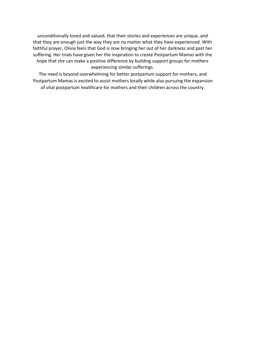unconditionally loved and valued, that their stories and experiences are unique, and that they are enough just the way they are no matter what they have experienced. With faithful prayer, Olivia feels that God is now bringing her out of her darkness and past her suffering. Her trials have given her the inspiration to create Postpartum Mamas with the hope that she can make a positive difference by building support groups for mothers experiencing similar sufferings.

The need is beyond overwhelming for better postpartum support for mothers, and Postpartum Mamas is excited to assist mothers locally while also pursuing the expansion of vital postpartum healthcare for mothers and their children across the country.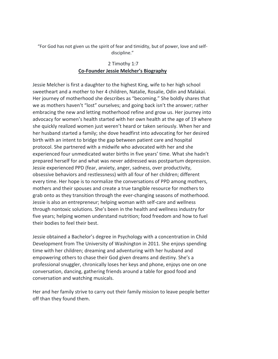"For God has not given us the spirit of fear and timidity, but of power, love and selfdiscipline."

# 2 Timothy 1:7 **Co-Founder Jessie Melcher's Biography**

Jessie Melcher is first a daughter to the highest King, wife to her high school sweetheart and a mother to her 4 children, Natalie, Rosalie, Odin and Malakai. Her journey of motherhood she describes as "becoming." She boldly shares that we as mothers haven't "lost" ourselves; and going back isn't the answer; rather embracing the new and letting motherhood refine and grow us. Her journey into advocacy for women's health started with her own health at the age of 19 where she quickly realized women just weren't heard or taken seriously. When her and her husband started a family; she dove headfirst into advocating for her desired birth with an intent to bridge the gap between patient care and hospital protocol. She partnered with a midwife who advocated with her and she experienced four unmedicated water births in five years' time. What she hadn't prepared herself for and what was never addressed was postpartum depression. Jessie experienced PPD (fear, anxiety, anger, sadness, over productivity, obsessive behaviors and restlessness) with all four of her children; different every time. Her hope is to normalize the conversations of PPD among mothers, mothers and their spouses and create a true tangible resource for mothers to grab onto as they transition through the ever-changing seasons of motherhood. Jessie is also an entrepreneur; helping woman with self-care and wellness through nontoxic solutions. She's been in the health and wellness industry for five years; helping women understand nutrition; food freedom and how to fuel their bodies to feel their best.

Jessie obtained a Bachelor's degree in Psychology with a concentration in Child Development from The University of Washington in 2011. She enjoys spending time with her children; dreaming and adventuring with her husband and empowering others to chase their God given dreams and destiny. She's a professional snuggler, chronically loses her keys and phone, enjoys one on one conversation, dancing, gathering friends around a table for good food and conversation and watching musicals.

Her and her family strive to carry out their family mission to leave people better off than they found them.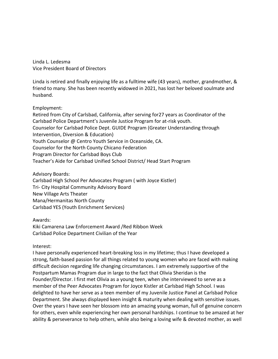Linda L. Ledesma Vice President Board of Directors

Linda is retired and finally enjoying life as a fulltime wife (43 years), mother, grandmother, & friend to many. She has been recently widowed in 2021, has lost her beloved soulmate and husband.

Employment:

Retired from City of Carlsbad, California, after serving for27 years as Coordinator of the Carlsbad Police Department's Juvenile Justice Program for at-risk youth. Counselor for Carlsbad Police Dept. GUIDE Program (Greater Understanding through Intervention, Diversion & Education) Youth Counselor @ Centro Youth Service in Oceanside, CA. Counselor for the North County Chicano Federation Program Director for Carlsbad Boys Club Teacher's Aide for Carlsbad Unified School District/ Head Start Program

Advisory Boards:

Carlsbad High School Per Advocates Program ( with Joyce Kistler) Tri- City Hospital Community Advisory Board New Village Arts Theater

Mana/Hermanitas North County

Carlsbad YES (Youth Enrichment Services)

## Awards:

Kiki Camarena Law Enforcement Award /Red Ribbon Week Carlsbad Police Department Civilian of the Year

## Interest:

I have personally experienced heart-breaking loss in my lifetime; thus I have developed a strong, faith-based passion for all things related to young women who are faced with making difficult decision regarding life changing circumstances. I am extremely supportive of the Postpartum Mamas Program due in large to the fact that Olivia Sheridan is the Founder/Director. I first met Olivia as a young teen, when she interviewed to serve as a member of the Peer Advocates Program for Joyce Kistler at Carlsbad High School. I was delighted to have her serve as a teen member of my Juvenile Justice Panel at Carlsbad Police Department. She always displayed keen insight & maturity when dealing with sensitive issues. Over the years I have seen her blossom into an amazing young woman, full of genuine concern for others, even while experiencing her own personal hardships. I continue to be amazed at her ability & perseverance to help others, while also being a loving wife & devoted mother, as well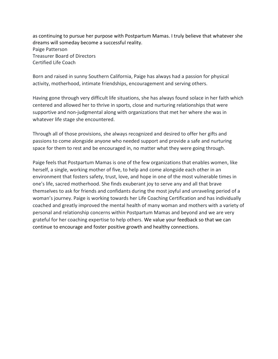as continuing to pursue her purpose with Postpartum Mamas. I truly believe that whatever she dreams will someday become a successful reality. Paige Patterson Treasurer Board of Directors Certified Life Coach

Born and raised in sunny Southern California, Paige has always had a passion for physical activity, motherhood, intimate friendships, encouragement and serving others.

Having gone through very difficult life situations, she has always found solace in her faith which centered and allowed her to thrive in sports, close and nurturing relationships that were supportive and non-judgmental along with organizations that met her where she was in whatever life stage she encountered.

Through all of those provisions, she always recognized and desired to offer her gifts and passions to come alongside anyone who needed support and provide a safe and nurturing space for them to rest and be encouraged in, no matter what they were going through.

Paige feels that Postpartum Mamas is one of the few organizations that enables women, like herself, a single, working mother of five, to help and come alongside each other in an environment that fosters safety, trust, love, and hope in one of the most vulnerable times in one's life, sacred motherhood. She finds exuberant joy to serve any and all that brave themselves to ask for friends and confidants during the most joyful and unraveling period of a woman's journey. Paige is working towards her Life Coaching Certification and has individually coached and greatly improved the mental health of many woman and mothers with a variety of personal and relationship concerns within Postpartum Mamas and beyond and we are very grateful for her coaching expertise to help others. We value your feedback so that we can continue to encourage and foster positive growth and healthy connections.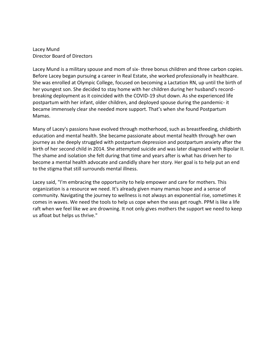Lacey Mund Director Board of Directors

Lacey Mund is a military spouse and mom of six- three bonus children and three carbon copies. Before Lacey began pursuing a career in Real Estate, she worked professionally in healthcare. She was enrolled at Olympic College, focused on becoming a Lactation RN, up until the birth of her youngest son. She decided to stay home with her children during her husband's recordbreaking deployment as it coincided with the COVID-19 shut down. As she experienced life postpartum with her infant, older children, and deployed spouse during the pandemic- it became immensely clear she needed more support. That's when she found Postpartum Mamas.

Many of Lacey's passions have evolved through motherhood, such as breastfeeding, childbirth education and mental health. She became passionate about mental health through her own journey as she deeply struggled with postpartum depression and postpartum anxiety after the birth of her second child in 2014. She attempted suicide and was later diagnosed with Bipolar II. The shame and isolation she felt during that time and years after is what has driven her to become a mental health advocate and candidly share her story. Her goal is to help put an end to the stigma that still surrounds mental illness.

Lacey said, "I'm embracing the opportunity to help empower and care for mothers. This organization is a resource we need. It's already given many mamas hope and a sense of community. Navigating the journey to wellness is not always an exponential rise, sometimes it comes in waves. We need the tools to help us cope when the seas get rough. PPM is like a life raft when we feel like we are drowning. It not only gives mothers the support we need to keep us afloat but helps us thrive."